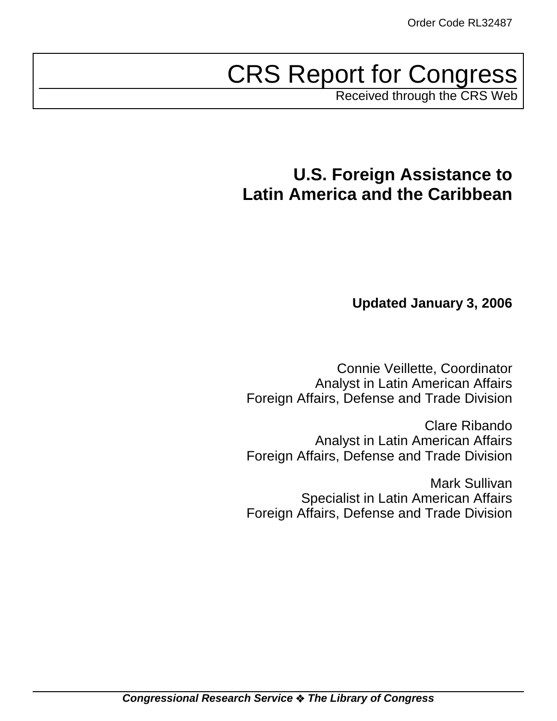# CRS Report for Congress

Received through the CRS Web

# **U.S. Foreign Assistance to Latin America and the Caribbean**

# **Updated January 3, 2006**

Connie Veillette, Coordinator Analyst in Latin American Affairs Foreign Affairs, Defense and Trade Division

Clare Ribando Analyst in Latin American Affairs Foreign Affairs, Defense and Trade Division

Mark Sullivan Specialist in Latin American Affairs Foreign Affairs, Defense and Trade Division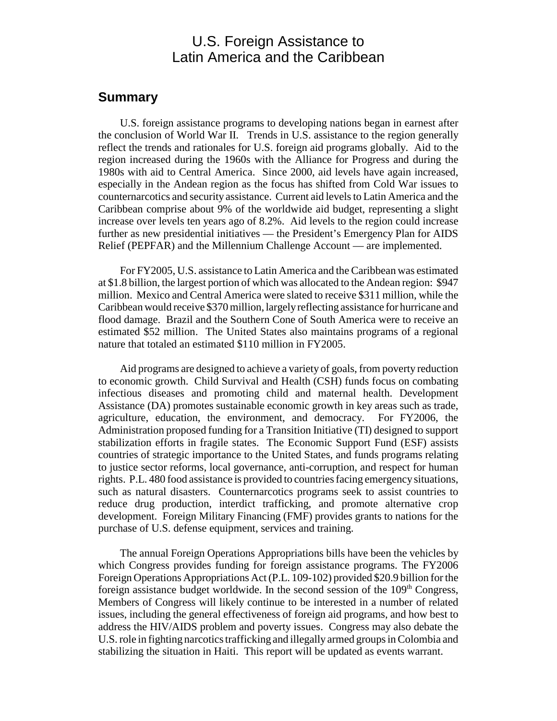# U.S. Foreign Assistance to Latin America and the Caribbean

### **Summary**

U.S. foreign assistance programs to developing nations began in earnest after the conclusion of World War II. Trends in U.S. assistance to the region generally reflect the trends and rationales for U.S. foreign aid programs globally. Aid to the region increased during the 1960s with the Alliance for Progress and during the 1980s with aid to Central America. Since 2000, aid levels have again increased, especially in the Andean region as the focus has shifted from Cold War issues to counternarcotics and security assistance. Current aid levels to Latin America and the Caribbean comprise about 9% of the worldwide aid budget, representing a slight increase over levels ten years ago of 8.2%. Aid levels to the region could increase further as new presidential initiatives — the President's Emergency Plan for AIDS Relief (PEPFAR) and the Millennium Challenge Account — are implemented.

For FY2005, U.S. assistance to Latin America and the Caribbean was estimated at \$1.8 billion, the largest portion of which was allocated to the Andean region: \$947 million. Mexico and Central America were slated to receive \$311 million, while the Caribbean would receive \$370 million, largely reflecting assistance for hurricane and flood damage. Brazil and the Southern Cone of South America were to receive an estimated \$52 million. The United States also maintains programs of a regional nature that totaled an estimated \$110 million in FY2005.

Aid programs are designed to achieve a variety of goals, from poverty reduction to economic growth. Child Survival and Health (CSH) funds focus on combating infectious diseases and promoting child and maternal health. Development Assistance (DA) promotes sustainable economic growth in key areas such as trade, agriculture, education, the environment, and democracy. For FY2006, the Administration proposed funding for a Transition Initiative (TI) designed to support stabilization efforts in fragile states. The Economic Support Fund (ESF) assists countries of strategic importance to the United States, and funds programs relating to justice sector reforms, local governance, anti-corruption, and respect for human rights. P.L. 480 food assistance is provided to countries facing emergency situations, such as natural disasters. Counternarcotics programs seek to assist countries to reduce drug production, interdict trafficking, and promote alternative crop development. Foreign Military Financing (FMF) provides grants to nations for the purchase of U.S. defense equipment, services and training.

The annual Foreign Operations Appropriations bills have been the vehicles by which Congress provides funding for foreign assistance programs. The FY2006 Foreign Operations Appropriations Act (P.L. 109-102) provided \$20.9 billion for the foreign assistance budget worldwide. In the second session of the  $109<sup>th</sup>$  Congress, Members of Congress will likely continue to be interested in a number of related issues, including the general effectiveness of foreign aid programs, and how best to address the HIV/AIDS problem and poverty issues. Congress may also debate the U.S. role in fighting narcotics trafficking and illegally armed groups in Colombia and stabilizing the situation in Haiti. This report will be updated as events warrant.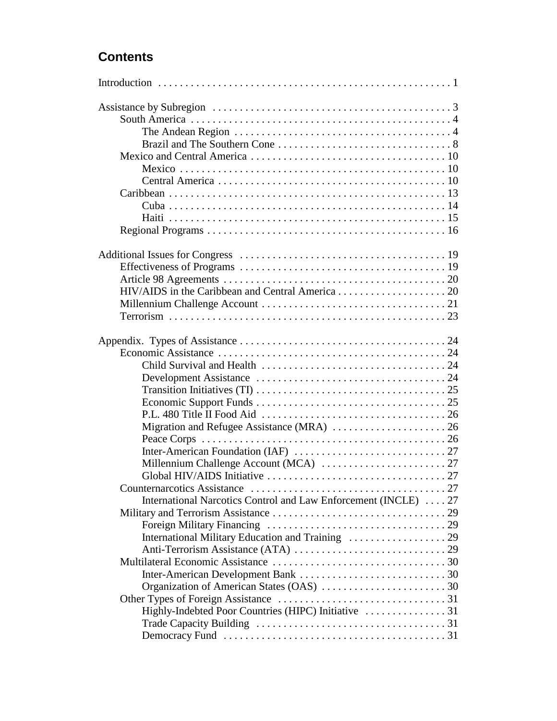# **Contents**

| The Andean Region $\dots\dots\dots\dots\dots\dots\dots\dots\dots\dots\dots\dots\dots\dots$                           |  |
|----------------------------------------------------------------------------------------------------------------------|--|
|                                                                                                                      |  |
|                                                                                                                      |  |
|                                                                                                                      |  |
|                                                                                                                      |  |
|                                                                                                                      |  |
|                                                                                                                      |  |
|                                                                                                                      |  |
|                                                                                                                      |  |
|                                                                                                                      |  |
|                                                                                                                      |  |
|                                                                                                                      |  |
|                                                                                                                      |  |
|                                                                                                                      |  |
|                                                                                                                      |  |
|                                                                                                                      |  |
|                                                                                                                      |  |
|                                                                                                                      |  |
|                                                                                                                      |  |
|                                                                                                                      |  |
| Transition Initiatives (TI) $\ldots \ldots \ldots \ldots \ldots \ldots \ldots \ldots \ldots \ldots \ldots \ldots 25$ |  |
|                                                                                                                      |  |
|                                                                                                                      |  |
|                                                                                                                      |  |
|                                                                                                                      |  |
|                                                                                                                      |  |
|                                                                                                                      |  |
|                                                                                                                      |  |
|                                                                                                                      |  |
| International Narcotics Control and Law Enforcement (INCLE)  27                                                      |  |
|                                                                                                                      |  |
|                                                                                                                      |  |
|                                                                                                                      |  |
|                                                                                                                      |  |
|                                                                                                                      |  |
|                                                                                                                      |  |
|                                                                                                                      |  |
|                                                                                                                      |  |
|                                                                                                                      |  |
|                                                                                                                      |  |
|                                                                                                                      |  |
|                                                                                                                      |  |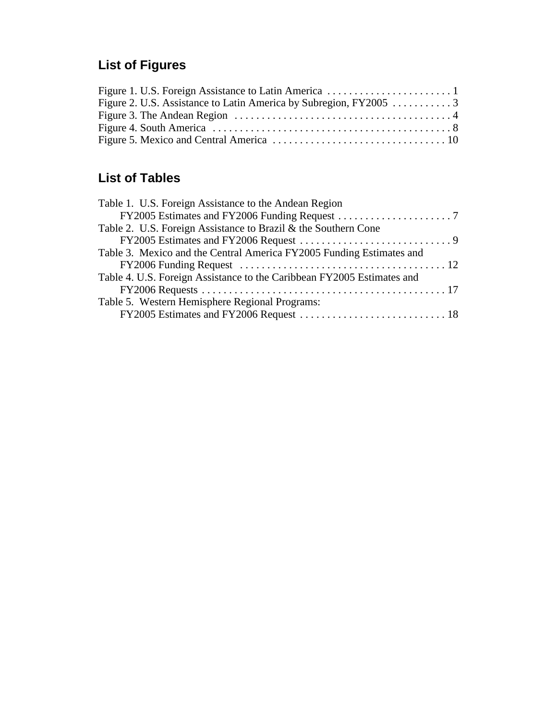# **List of Figures**

# **List of Tables**

| $FY2006$ Funding Request $\ldots \ldots \ldots \ldots \ldots \ldots \ldots \ldots \ldots \ldots \ldots 12$ |
|------------------------------------------------------------------------------------------------------------|
|                                                                                                            |
|                                                                                                            |
|                                                                                                            |
|                                                                                                            |
|                                                                                                            |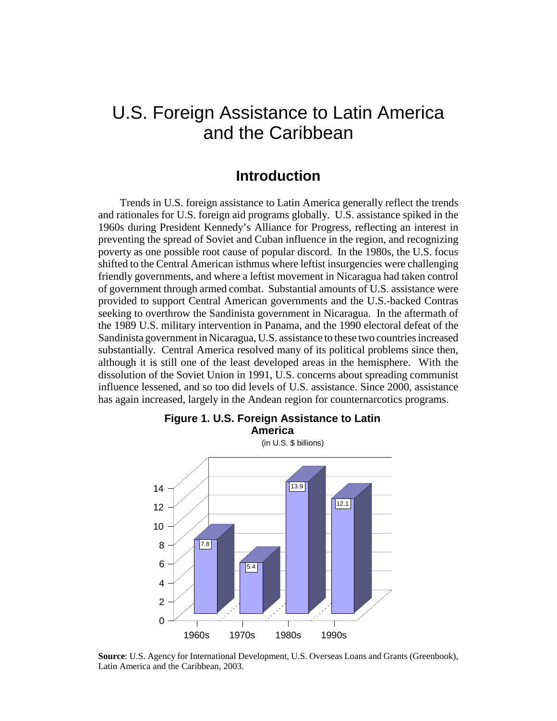# U.S. Foreign Assistance to Latin America and the Caribbean

# **Introduction**

Trends in U.S. foreign assistance to Latin America generally reflect the trends and rationales for U.S. foreign aid programs globally. U.S. assistance spiked in the 1960s during President Kennedy's Alliance for Progress, reflecting an interest in preventing the spread of Soviet and Cuban influence in the region, and recognizing poverty as one possible root cause of popular discord. In the 1980s, the U.S. focus shifted to the Central American isthmus where leftist insurgencies were challenging friendly governments, and where a leftist movement in Nicaragua had taken control of government through armed combat. Substantial amounts of U.S. assistance were provided to support Central American governments and the U.S.-backed Contras seeking to overthrow the Sandinista government in Nicaragua. In the aftermath of the 1989 U.S. military intervention in Panama, and the 1990 electoral defeat of the Sandinista government in Nicaragua, U.S. assistance to these two countries increased substantially. Central America resolved many of its political problems since then, although it is still one of the least developed areas in the hemisphere. With the dissolution of the Soviet Union in 1991, U.S. concerns about spreading communist influence lessened, and so too did levels of U.S. assistance. Since 2000, assistance has again increased, largely in the Andean region for counternarcotics programs.



**Source**: U.S. Agency for International Development, U.S. Overseas Loans and Grants (Greenbook), Latin America and the Caribbean, 2003.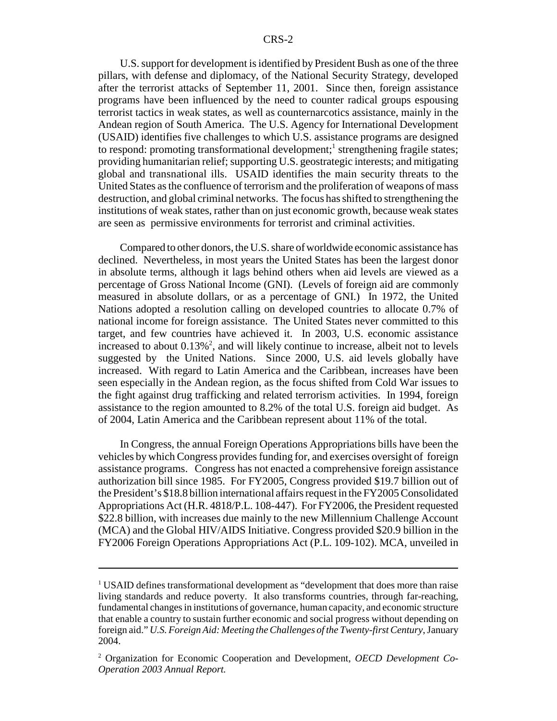U.S. support for development is identified by President Bush as one of the three pillars, with defense and diplomacy, of the National Security Strategy, developed after the terrorist attacks of September 11, 2001. Since then, foreign assistance programs have been influenced by the need to counter radical groups espousing terrorist tactics in weak states, as well as counternarcotics assistance, mainly in the Andean region of South America. The U.S. Agency for International Development (USAID) identifies five challenges to which U.S. assistance programs are designed to respond: promoting transformational development;<sup>1</sup> strengthening fragile states; providing humanitarian relief; supporting U.S. geostrategic interests; and mitigating global and transnational ills. USAID identifies the main security threats to the United States as the confluence of terrorism and the proliferation of weapons of mass destruction, and global criminal networks. The focus has shifted to strengthening the institutions of weak states, rather than on just economic growth, because weak states are seen as permissive environments for terrorist and criminal activities.

Compared to other donors, the U.S. share of worldwide economic assistance has declined. Nevertheless, in most years the United States has been the largest donor in absolute terms, although it lags behind others when aid levels are viewed as a percentage of Gross National Income (GNI). (Levels of foreign aid are commonly measured in absolute dollars, or as a percentage of GNI.) In 1972, the United Nations adopted a resolution calling on developed countries to allocate 0.7% of national income for foreign assistance. The United States never committed to this target, and few countries have achieved it. In 2003, U.S. economic assistance increased to about  $0.13\%^2$ , and will likely continue to increase, albeit not to levels suggested by the United Nations. Since 2000, U.S. aid levels globally have increased. With regard to Latin America and the Caribbean, increases have been seen especially in the Andean region, as the focus shifted from Cold War issues to the fight against drug trafficking and related terrorism activities. In 1994, foreign assistance to the region amounted to 8.2% of the total U.S. foreign aid budget. As of 2004, Latin America and the Caribbean represent about 11% of the total.

In Congress, the annual Foreign Operations Appropriations bills have been the vehicles by which Congress provides funding for, and exercises oversight of foreign assistance programs. Congress has not enacted a comprehensive foreign assistance authorization bill since 1985. For FY2005, Congress provided \$19.7 billion out of the President's \$18.8 billion international affairs request in the FY2005 Consolidated Appropriations Act (H.R. 4818/P.L. 108-447). For FY2006, the President requested \$22.8 billion, with increases due mainly to the new Millennium Challenge Account (MCA) and the Global HIV/AIDS Initiative. Congress provided \$20.9 billion in the FY2006 Foreign Operations Appropriations Act (P.L. 109-102). MCA, unveiled in

<sup>&</sup>lt;sup>1</sup> USAID defines transformational development as "development that does more than raise living standards and reduce poverty. It also transforms countries, through far-reaching, fundamental changes in institutions of governance, human capacity, and economic structure that enable a country to sustain further economic and social progress without depending on foreign aid." *U.S. Foreign Aid: Meeting the Challenges of the Twenty-first Century*, January 2004.

<sup>2</sup> Organization for Economic Cooperation and Development, *OECD Development Co-Operation 2003 Annual Report.*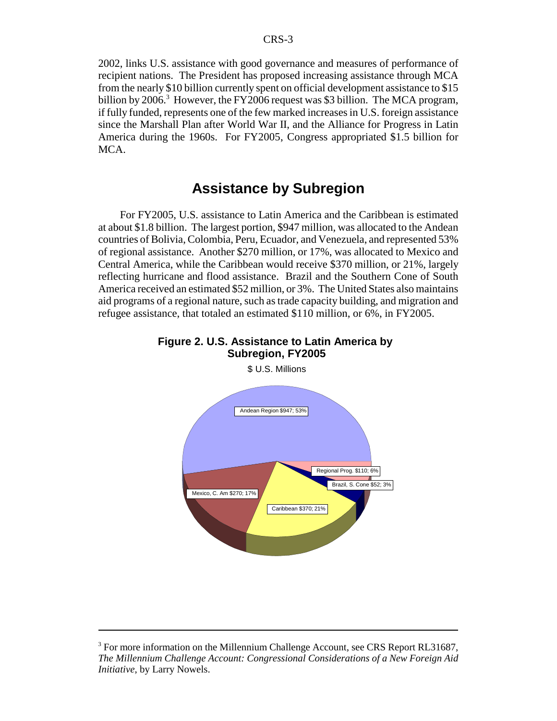2002, links U.S. assistance with good governance and measures of performance of recipient nations. The President has proposed increasing assistance through MCA from the nearly \$10 billion currently spent on official development assistance to \$15 billion by 2006.<sup>3</sup> However, the FY2006 request was \$3 billion. The MCA program, if fully funded, represents one of the few marked increases in U.S. foreign assistance since the Marshall Plan after World War II, and the Alliance for Progress in Latin America during the 1960s. For FY2005, Congress appropriated \$1.5 billion for MCA.

# **Assistance by Subregion**

For FY2005, U.S. assistance to Latin America and the Caribbean is estimated at about \$1.8 billion. The largest portion, \$947 million, was allocated to the Andean countries of Bolivia, Colombia, Peru, Ecuador, and Venezuela, and represented 53% of regional assistance. Another \$270 million, or 17%, was allocated to Mexico and Central America, while the Caribbean would receive \$370 million, or 21%, largely reflecting hurricane and flood assistance. Brazil and the Southern Cone of South America received an estimated \$52 million, or 3%. The United States also maintains aid programs of a regional nature, such as trade capacity building, and migration and refugee assistance, that totaled an estimated \$110 million, or 6%, in FY2005.





<sup>3</sup> For more information on the Millennium Challenge Account, see CRS Report RL31687, *The Millennium Challenge Account: Congressional Considerations of a New Foreign Aid Initiative*, by Larry Nowels.

\$ U.S. Millions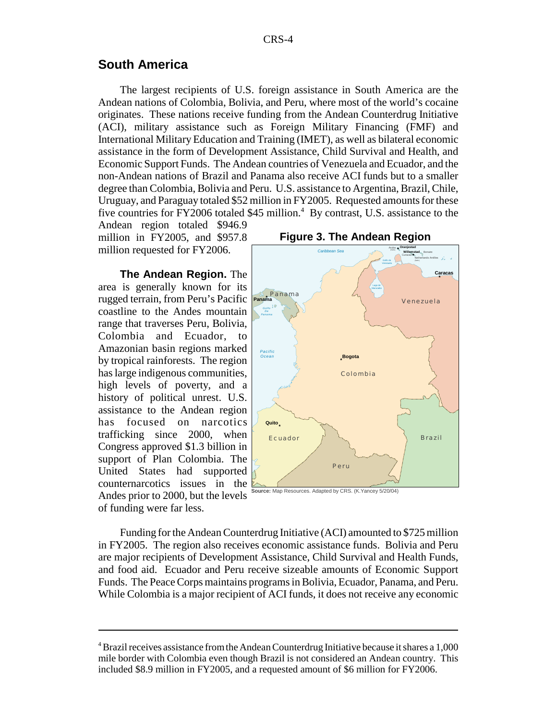### **South America**

The largest recipients of U.S. foreign assistance in South America are the Andean nations of Colombia, Bolivia, and Peru, where most of the world's cocaine originates. These nations receive funding from the Andean Counterdrug Initiative (ACI), military assistance such as Foreign Military Financing (FMF) and International Military Education and Training (IMET), as well as bilateral economic assistance in the form of Development Assistance, Child Survival and Health, and Economic Support Funds. The Andean countries of Venezuela and Ecuador, and the non-Andean nations of Brazil and Panama also receive ACI funds but to a smaller degree than Colombia, Bolivia and Peru. U.S. assistance to Argentina, Brazil, Chile, Uruguay, and Paraguay totaled \$52 million in FY2005. Requested amounts for these five countries for FY2006 totaled \$45 million.<sup>4</sup> By contrast, U.S. assistance to the

Andean region totaled \$946.9 million in FY2005, and \$957.8 million requested for FY2006.

**The Andean Region.** The area is generally known for its rugged terrain, from Peru's Pacific coastline to the Andes mountain range that traverses Peru, Bolivia, Colombia and Ecuador, to Amazonian basin regions marked by tropical rainforests. The region has large indigenous communities, high levels of poverty, and a history of political unrest. U.S. assistance to the Andean region has focused on narcotics trafficking since 2000, when Congress approved \$1.3 billion in support of Plan Colombia. The United States had supported counternarcotics issues in the Andes prior to 2000, but the levels of funding were far less.







Funding for the Andean Counterdrug Initiative (ACI) amounted to \$725 million in FY2005. The region also receives economic assistance funds. Bolivia and Peru are major recipients of Development Assistance, Child Survival and Health Funds, and food aid. Ecuador and Peru receive sizeable amounts of Economic Support Funds. The Peace Corps maintains programs in Bolivia, Ecuador, Panama, and Peru. While Colombia is a major recipient of ACI funds, it does not receive any economic

<sup>&</sup>lt;sup>4</sup> Brazil receives assistance from the Andean Counterdrug Initiative because it shares a 1,000 mile border with Colombia even though Brazil is not considered an Andean country. This included \$8.9 million in FY2005, and a requested amount of \$6 million for FY2006.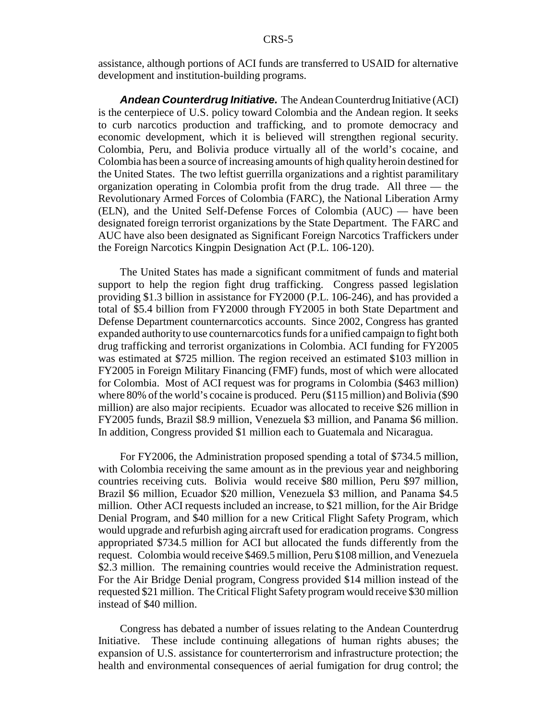assistance, although portions of ACI funds are transferred to USAID for alternative development and institution-building programs.

*Andean Counterdrug Initiative.* The Andean Counterdrug Initiative (ACI) is the centerpiece of U.S. policy toward Colombia and the Andean region. It seeks to curb narcotics production and trafficking, and to promote democracy and economic development, which it is believed will strengthen regional security. Colombia, Peru, and Bolivia produce virtually all of the world's cocaine, and Colombia has been a source of increasing amounts of high quality heroin destined for the United States. The two leftist guerrilla organizations and a rightist paramilitary organization operating in Colombia profit from the drug trade. All three — the Revolutionary Armed Forces of Colombia (FARC), the National Liberation Army (ELN), and the United Self-Defense Forces of Colombia (AUC) — have been designated foreign terrorist organizations by the State Department. The FARC and AUC have also been designated as Significant Foreign Narcotics Traffickers under the Foreign Narcotics Kingpin Designation Act (P.L. 106-120).

The United States has made a significant commitment of funds and material support to help the region fight drug trafficking. Congress passed legislation providing \$1.3 billion in assistance for FY2000 (P.L. 106-246), and has provided a total of \$5.4 billion from FY2000 through FY2005 in both State Department and Defense Department counternarcotics accounts. Since 2002, Congress has granted expanded authority to use counternarcotics funds for a unified campaign to fight both drug trafficking and terrorist organizations in Colombia. ACI funding for FY2005 was estimated at \$725 million. The region received an estimated \$103 million in FY2005 in Foreign Military Financing (FMF) funds, most of which were allocated for Colombia. Most of ACI request was for programs in Colombia (\$463 million) where 80% of the world's cocaine is produced. Peru (\$115 million) and Bolivia (\$90 million) are also major recipients. Ecuador was allocated to receive \$26 million in FY2005 funds, Brazil \$8.9 million, Venezuela \$3 million, and Panama \$6 million. In addition, Congress provided \$1 million each to Guatemala and Nicaragua.

For FY2006, the Administration proposed spending a total of \$734.5 million, with Colombia receiving the same amount as in the previous year and neighboring countries receiving cuts. Bolivia would receive \$80 million, Peru \$97 million, Brazil \$6 million, Ecuador \$20 million, Venezuela \$3 million, and Panama \$4.5 million. Other ACI requests included an increase, to \$21 million, for the Air Bridge Denial Program, and \$40 million for a new Critical Flight Safety Program, which would upgrade and refurbish aging aircraft used for eradication programs. Congress appropriated \$734.5 million for ACI but allocated the funds differently from the request. Colombia would receive \$469.5 million, Peru \$108 million, and Venezuela \$2.3 million. The remaining countries would receive the Administration request. For the Air Bridge Denial program, Congress provided \$14 million instead of the requested \$21 million. The Critical Flight Safety program would receive \$30 million instead of \$40 million.

Congress has debated a number of issues relating to the Andean Counterdrug Initiative. These include continuing allegations of human rights abuses; the expansion of U.S. assistance for counterterrorism and infrastructure protection; the health and environmental consequences of aerial fumigation for drug control; the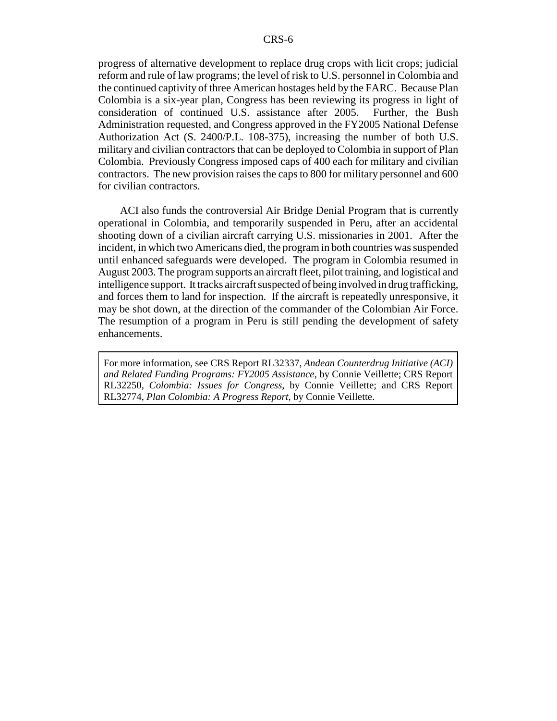progress of alternative development to replace drug crops with licit crops; judicial reform and rule of law programs; the level of risk to U.S. personnel in Colombia and the continued captivity of three American hostages held by the FARC. Because Plan Colombia is a six-year plan, Congress has been reviewing its progress in light of consideration of continued U.S. assistance after 2005. Further, the Bush Administration requested, and Congress approved in the FY2005 National Defense Authorization Act (S. 2400/P.L. 108-375), increasing the number of both U.S. military and civilian contractors that can be deployed to Colombia in support of Plan Colombia. Previously Congress imposed caps of 400 each for military and civilian contractors. The new provision raises the caps to 800 for military personnel and 600 for civilian contractors.

ACI also funds the controversial Air Bridge Denial Program that is currently operational in Colombia, and temporarily suspended in Peru, after an accidental shooting down of a civilian aircraft carrying U.S. missionaries in 2001. After the incident, in which two Americans died, the program in both countries was suspended until enhanced safeguards were developed. The program in Colombia resumed in August 2003. The program supports an aircraft fleet, pilot training, and logistical and intelligence support. It tracks aircraft suspected of being involved in drug trafficking, and forces them to land for inspection. If the aircraft is repeatedly unresponsive, it may be shot down, at the direction of the commander of the Colombian Air Force. The resumption of a program in Peru is still pending the development of safety enhancements.

For more information, see CRS Report RL32337, *Andean Counterdrug Initiative (ACI) and Related Funding Programs: FY2005 Assistance*, by Connie Veillette; CRS Report RL32250, *Colombia: Issues for Congress*, by Connie Veillette; and CRS Report RL32774, *Plan Colombia: A Progress Report*, by Connie Veillette.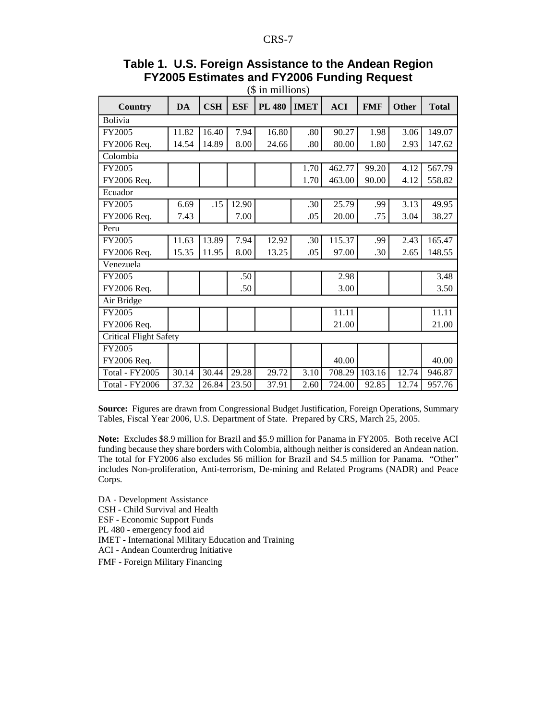# **Table 1. U.S. Foreign Assistance to the Andean Region FY2005 Estimates and FY2006 Funding Request**

| $($$ in millions)             |       |            |            |               |             |            |            |              |              |
|-------------------------------|-------|------------|------------|---------------|-------------|------------|------------|--------------|--------------|
| Country                       | DA    | <b>CSH</b> | <b>ESF</b> | <b>PL 480</b> | <b>IMET</b> | <b>ACI</b> | <b>FMF</b> | <b>Other</b> | <b>Total</b> |
| <b>Bolivia</b>                |       |            |            |               |             |            |            |              |              |
| FY2005                        | 11.82 | 16.40      | 7.94       | 16.80         | .80         | 90.27      | 1.98       | 3.06         | 149.07       |
| FY2006 Req.                   | 14.54 | 14.89      | 8.00       | 24.66         | .80         | 80.00      | 1.80       | 2.93         | 147.62       |
| Colombia                      |       |            |            |               |             |            |            |              |              |
| FY2005                        |       |            |            |               | 1.70        | 462.77     | 99.20      | 4.12         | 567.79       |
| FY2006 Req.                   |       |            |            |               | 1.70        | 463.00     | 90.00      | 4.12         | 558.82       |
| Ecuador                       |       |            |            |               |             |            |            |              |              |
| FY2005                        | 6.69  | .15        | 12.90      |               | .30         | 25.79      | .99        | 3.13         | 49.95        |
| FY2006 Req.                   | 7.43  |            | 7.00       |               | .05         | 20.00      | .75        | 3.04         | 38.27        |
| Peru                          |       |            |            |               |             |            |            |              |              |
| FY2005                        | 11.63 | 13.89      | 7.94       | 12.92         | .30         | 115.37     | .99        | 2.43         | 165.47       |
| FY2006 Req.                   | 15.35 | 11.95      | 8.00       | 13.25         | .05         | 97.00      | .30        | 2.65         | 148.55       |
| Venezuela                     |       |            |            |               |             |            |            |              |              |
| FY2005                        |       |            | .50        |               |             | 2.98       |            |              | 3.48         |
| FY2006 Req.                   |       |            | .50        |               |             | 3.00       |            |              | 3.50         |
| Air Bridge                    |       |            |            |               |             |            |            |              |              |
| FY2005                        |       |            |            |               |             | 11.11      |            |              | 11.11        |
| FY2006 Req.                   |       |            |            |               |             | 21.00      |            |              | 21.00        |
| <b>Critical Flight Safety</b> |       |            |            |               |             |            |            |              |              |
| FY2005                        |       |            |            |               |             |            |            |              |              |
| FY2006 Req.                   |       |            |            |               |             | 40.00      |            |              | 40.00        |
| <b>Total - FY2005</b>         | 30.14 | 30.44      | 29.28      | 29.72         | 3.10        | 708.29     | 103.16     | 12.74        | 946.87       |
| Total - FY2006                | 37.32 | 26.84      | 23.50      | 37.91         | 2.60        | 724.00     | 92.85      | 12.74        | 957.76       |

**Source:** Figures are drawn from Congressional Budget Justification, Foreign Operations, Summary Tables, Fiscal Year 2006, U.S. Department of State. Prepared by CRS, March 25, 2005.

**Note:** Excludes \$8.9 million for Brazil and \$5.9 million for Panama in FY2005. Both receive ACI funding because they share borders with Colombia, although neither is considered an Andean nation. The total for FY2006 also excludes \$6 million for Brazil and \$4.5 million for Panama. "Other" includes Non-proliferation, Anti-terrorism, De-mining and Related Programs (NADR) and Peace Corps.

DA - Development Assistance

CSH - Child Survival and Health

ESF - Economic Support Funds

PL 480 - emergency food aid

IMET - International Military Education and Training

ACI - Andean Counterdrug Initiative

FMF - Foreign Military Financing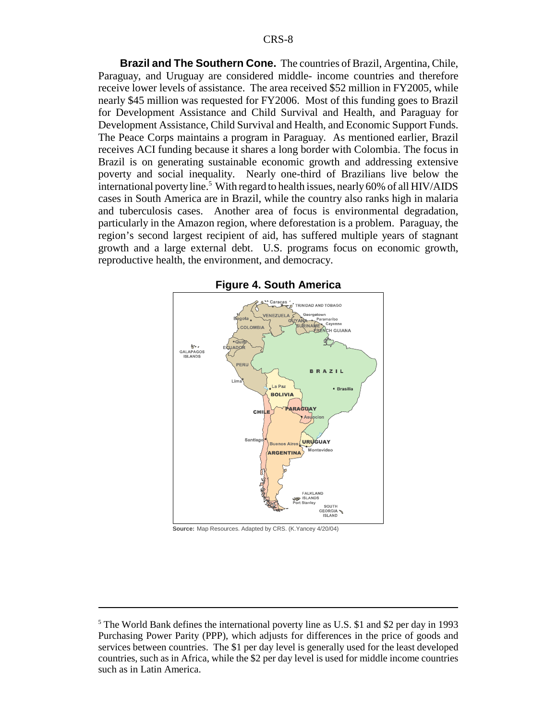**Brazil and The Southern Cone.** The countries of Brazil, Argentina, Chile, Paraguay, and Uruguay are considered middle- income countries and therefore receive lower levels of assistance. The area received \$52 million in FY2005, while nearly \$45 million was requested for FY2006. Most of this funding goes to Brazil for Development Assistance and Child Survival and Health, and Paraguay for Development Assistance, Child Survival and Health, and Economic Support Funds. The Peace Corps maintains a program in Paraguay. As mentioned earlier, Brazil receives ACI funding because it shares a long border with Colombia. The focus in Brazil is on generating sustainable economic growth and addressing extensive poverty and social inequality. Nearly one-third of Brazilians live below the international poverty line.<sup>5</sup> With regard to health issues, nearly 60% of all HIV/AIDS cases in South America are in Brazil, while the country also ranks high in malaria and tuberculosis cases. Another area of focus is environmental degradation, particularly in the Amazon region, where deforestation is a problem. Paraguay, the region's second largest recipient of aid, has suffered multiple years of stagnant growth and a large external debt. U.S. programs focus on economic growth, reproductive health, the environment, and democracy.



**Figure 4. South America**

**Source:** Map Resources. Adapted by CRS. (K.Yancey 4/20/04)

<sup>&</sup>lt;sup>5</sup> The World Bank defines the international poverty line as U.S. \$1 and \$2 per day in 1993 Purchasing Power Parity (PPP), which adjusts for differences in the price of goods and services between countries. The \$1 per day level is generally used for the least developed countries, such as in Africa, while the \$2 per day level is used for middle income countries such as in Latin America.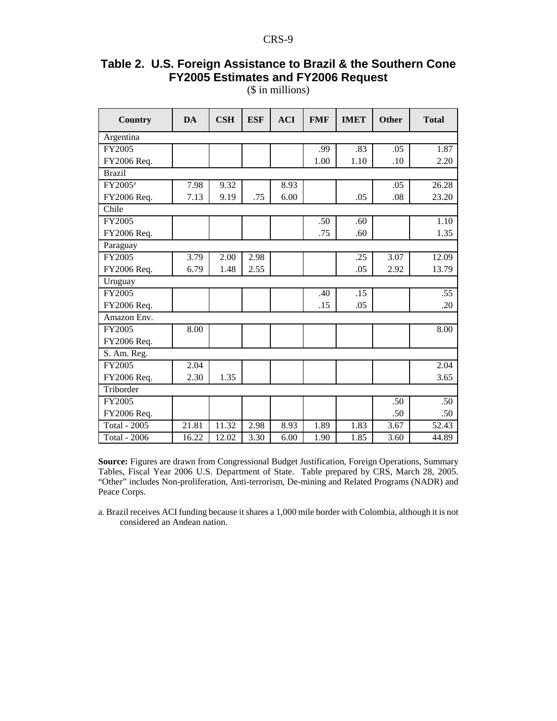# **Table 2. U.S. Foreign Assistance to Brazil & the Southern Cone FY2005 Estimates and FY2006 Request**

(\$ in millions)

| Country             | <b>DA</b> | <b>CSH</b> | <b>ESF</b> | <b>ACI</b> | <b>FMF</b> | <b>IMET</b> | Other | <b>Total</b> |
|---------------------|-----------|------------|------------|------------|------------|-------------|-------|--------------|
| Argentina           |           |            |            |            |            |             |       |              |
| FY2005              |           |            |            |            | .99        | .83         | .05   | 1.87         |
| FY2006 Req.         |           |            |            |            | 1.00       | 1.10        | .10   | 2.20         |
| <b>Brazil</b>       |           |            |            |            |            |             |       |              |
| FY2005 <sup>a</sup> | 7.98      | 9.32       |            | 8.93       |            |             | .05   | 26.28        |
| FY2006 Req.         | 7.13      | 9.19       | .75        | 6.00       |            | .05         | .08   | 23.20        |
| Chile               |           |            |            |            |            |             |       |              |
| FY2005              |           |            |            |            | .50        | .60         |       | 1.10         |
| FY2006 Req.         |           |            |            |            | .75        | .60         |       | 1.35         |
| Paraguay            |           |            |            |            |            |             |       |              |
| FY2005              | 3.79      | 2.00       | 2.98       |            |            | .25         | 3.07  | 12.09        |
| FY2006 Req.         | 6.79      | 1.48       | 2.55       |            |            | .05         | 2.92  | 13.79        |
| Uruguay             |           |            |            |            |            |             |       |              |
| FY2005              |           |            |            |            | .40        | .15         |       | .55          |
| FY2006 Req.         |           |            |            |            | .15        | .05         |       | .20          |
| Amazon Env.         |           |            |            |            |            |             |       |              |
| FY2005              | 8.00      |            |            |            |            |             |       | 8.00         |
| FY2006 Req.         |           |            |            |            |            |             |       |              |
| S. Am. Reg.         |           |            |            |            |            |             |       |              |
| FY2005              | 2.04      |            |            |            |            |             |       | 2.04         |
| FY2006 Req.         | 2.30      | 1.35       |            |            |            |             |       | 3.65         |
| Triborder           |           |            |            |            |            |             |       |              |
| FY2005              |           |            |            |            |            |             | .50   | .50          |
| FY2006 Req.         |           |            |            |            |            |             | .50   | .50          |
| <b>Total - 2005</b> | 21.81     | 11.32      | 2.98       | 8.93       | 1.89       | 1.83        | 3.67  | 52.43        |
| <b>Total - 2006</b> | 16.22     | 12.02      | 3.30       | 6.00       | 1.90       | 1.85        | 3.60  | 44.89        |

**Source:** Figures are drawn from Congressional Budget Justification, Foreign Operations, Summary Tables, Fiscal Year 2006 U.S. Department of State. Table prepared by CRS, March 28, 2005. "Other" includes Non-proliferation, Anti-terrorism, De-mining and Related Programs (NADR) and Peace Corps.

a. Brazil receives ACI funding because it shares a 1,000 mile border with Colombia, although it is not considered an Andean nation.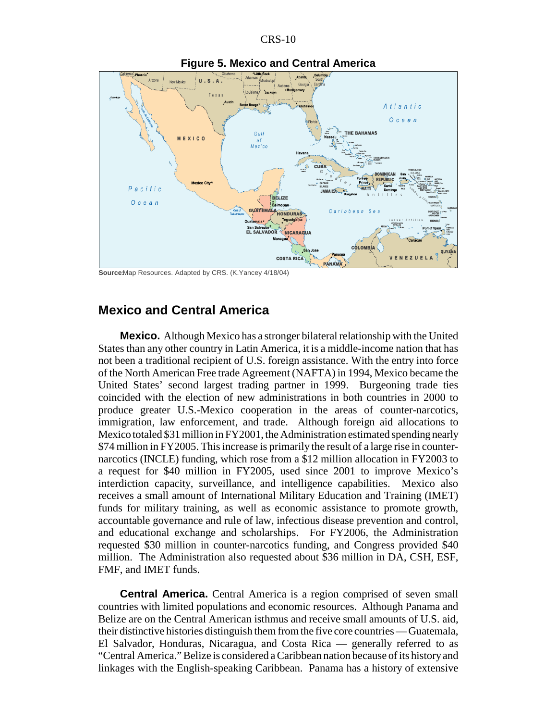

SourceMap Resources. Adapted by CRS. (K.Yancey 4/18/04)

#### **Mexico and Central America**

**Mexico.** Although Mexico has a stronger bilateral relationship with the United States than any other country in Latin America, it is a middle-income nation that has not been a traditional recipient of U.S. foreign assistance. With the entry into force of the North American Free trade Agreement (NAFTA) in 1994, Mexico became the United States' second largest trading partner in 1999. Burgeoning trade ties coincided with the election of new administrations in both countries in 2000 to produce greater U.S.-Mexico cooperation in the areas of counter-narcotics, immigration, law enforcement, and trade. Although foreign aid allocations to Mexico totaled \$31 million in FY2001, the Administration estimated spending nearly \$74 million in FY2005. This increase is primarily the result of a large rise in counternarcotics (INCLE) funding, which rose from a \$12 million allocation in FY2003 to a request for \$40 million in FY2005, used since 2001 to improve Mexico's interdiction capacity, surveillance, and intelligence capabilities. Mexico also receives a small amount of International Military Education and Training (IMET) funds for military training, as well as economic assistance to promote growth, accountable governance and rule of law, infectious disease prevention and control, and educational exchange and scholarships. For FY2006, the Administration requested \$30 million in counter-narcotics funding, and Congress provided \$40 million. The Administration also requested about \$36 million in DA, CSH, ESF, FMF, and IMET funds.

**Central America.** Central America is a region comprised of seven small countries with limited populations and economic resources. Although Panama and Belize are on the Central American isthmus and receive small amounts of U.S. aid, their distinctive histories distinguish them from the five core countries — Guatemala, El Salvador, Honduras, Nicaragua, and Costa Rica — generally referred to as "Central America." Belize is considered a Caribbean nation because of its history and linkages with the English-speaking Caribbean. Panama has a history of extensive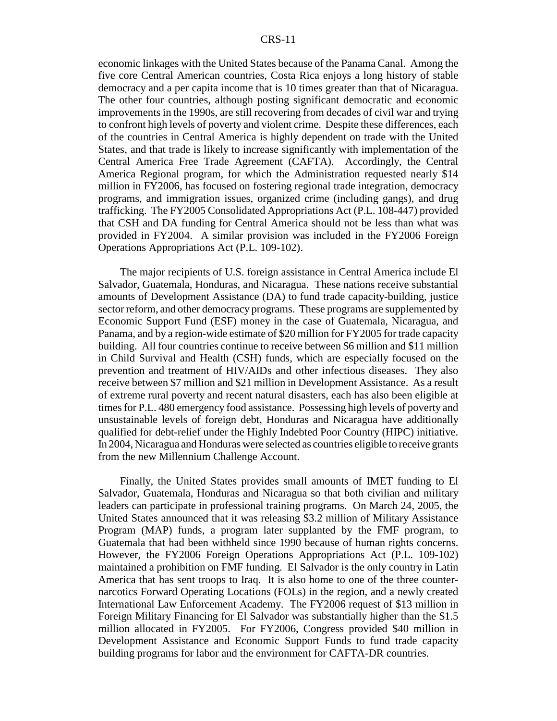economic linkages with the United States because of the Panama Canal. Among the five core Central American countries, Costa Rica enjoys a long history of stable democracy and a per capita income that is 10 times greater than that of Nicaragua. The other four countries, although posting significant democratic and economic improvements in the 1990s, are still recovering from decades of civil war and trying to confront high levels of poverty and violent crime. Despite these differences, each of the countries in Central America is highly dependent on trade with the United States, and that trade is likely to increase significantly with implementation of the Central America Free Trade Agreement (CAFTA). Accordingly, the Central America Regional program, for which the Administration requested nearly \$14 million in FY2006, has focused on fostering regional trade integration, democracy programs, and immigration issues, organized crime (including gangs), and drug trafficking. The FY2005 Consolidated Appropriations Act (P.L. 108-447) provided that CSH and DA funding for Central America should not be less than what was provided in FY2004. A similar provision was included in the FY2006 Foreign Operations Appropriations Act (P.L. 109-102).

The major recipients of U.S. foreign assistance in Central America include El Salvador, Guatemala, Honduras, and Nicaragua. These nations receive substantial amounts of Development Assistance (DA) to fund trade capacity-building, justice sector reform, and other democracy programs. These programs are supplemented by Economic Support Fund (ESF) money in the case of Guatemala, Nicaragua, and Panama, and by a region-wide estimate of \$20 million for FY2005 for trade capacity building. All four countries continue to receive between \$6 million and \$11 million in Child Survival and Health (CSH) funds, which are especially focused on the prevention and treatment of HIV/AIDs and other infectious diseases. They also receive between \$7 million and \$21 million in Development Assistance. As a result of extreme rural poverty and recent natural disasters, each has also been eligible at times for P.L. 480 emergency food assistance. Possessing high levels of poverty and unsustainable levels of foreign debt, Honduras and Nicaragua have additionally qualified for debt-relief under the Highly Indebted Poor Country (HIPC) initiative. In 2004, Nicaragua and Honduras were selected as countries eligible to receive grants from the new Millennium Challenge Account.

Finally, the United States provides small amounts of IMET funding to El Salvador, Guatemala, Honduras and Nicaragua so that both civilian and military leaders can participate in professional training programs. On March 24, 2005, the United States announced that it was releasing \$3.2 million of Military Assistance Program (MAP) funds, a program later supplanted by the FMF program, to Guatemala that had been withheld since 1990 because of human rights concerns. However, the FY2006 Foreign Operations Appropriations Act (P.L. 109-102) maintained a prohibition on FMF funding. El Salvador is the only country in Latin America that has sent troops to Iraq. It is also home to one of the three counternarcotics Forward Operating Locations (FOLs) in the region, and a newly created International Law Enforcement Academy. The FY2006 request of \$13 million in Foreign Military Financing for El Salvador was substantially higher than the \$1.5 million allocated in FY2005. For FY2006, Congress provided \$40 million in Development Assistance and Economic Support Funds to fund trade capacity building programs for labor and the environment for CAFTA-DR countries.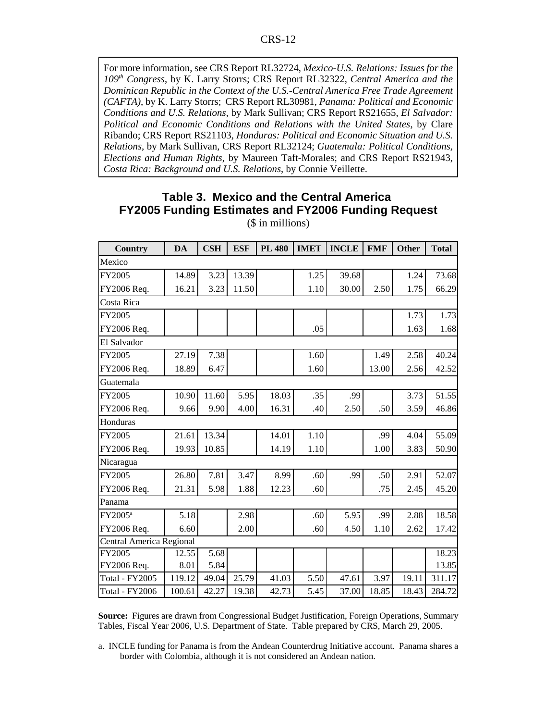For more information, see CRS Report RL32724, *Mexico-U.S. Relations: Issues for the 109th Congress*, by K. Larry Storrs; CRS Report RL32322, *Central America and the Dominican Republic in the Context of the U.S.-Central America Free Trade Agreement (CAFTA)*, by K. Larry Storrs; CRS Report RL30981, *Panama: Political and Economic Conditions and U.S. Relations*, by Mark Sullivan; CRS Report RS21655, *El Salvador: Political and Economic Conditions and Relations with the United States*, by Clare Ribando; CRS Report RS21103, *Honduras: Political and Economic Situation and U.S. Relations*, by Mark Sullivan, CRS Report RL32124; *Guatemala: Political Conditions, Elections and Human Rights*, by Maureen Taft-Morales; and CRS Report RS21943, *Costa Rica: Background and U.S. Relations*, by Connie Veillette.

# **Table 3. Mexico and the Central America FY2005 Funding Estimates and FY2006 Funding Request**

(\$ in millions)

| <b>Country</b>           | DA     | $\mathbf{CSH}$ | <b>ESF</b> | <b>PL 480</b> | <b>IMET</b> | <b>INCLE</b> | <b>FMF</b> | <b>Other</b> | <b>Total</b> |  |
|--------------------------|--------|----------------|------------|---------------|-------------|--------------|------------|--------------|--------------|--|
| Mexico                   |        |                |            |               |             |              |            |              |              |  |
| FY2005                   | 14.89  | 3.23           | 13.39      |               | 1.25        | 39.68        |            | 1.24         | 73.68        |  |
| FY2006 Req.              | 16.21  | 3.23           | 11.50      |               | 1.10        | 30.00        | 2.50       | 1.75         | 66.29        |  |
| Costa Rica               |        |                |            |               |             |              |            |              |              |  |
| FY2005                   |        |                |            |               |             |              |            | 1.73         | 1.73         |  |
| FY2006 Req.              |        |                |            |               | .05         |              |            | 1.63         | 1.68         |  |
| El Salvador              |        |                |            |               |             |              |            |              |              |  |
| FY2005                   | 27.19  | 7.38           |            |               | 1.60        |              | 1.49       | 2.58         | 40.24        |  |
| FY2006 Req.              | 18.89  | 6.47           |            |               | 1.60        |              | 13.00      | 2.56         | 42.52        |  |
| Guatemala                |        |                |            |               |             |              |            |              |              |  |
| FY2005                   | 10.90  | 11.60          | 5.95       | 18.03         | .35         | .99          |            | 3.73         | 51.55        |  |
| FY2006 Req.              | 9.66   | 9.90           | 4.00       | 16.31         | .40         | 2.50         | .50        | 3.59         | 46.86        |  |
| Honduras                 |        |                |            |               |             |              |            |              |              |  |
| FY2005                   | 21.61  | 13.34          |            | 14.01         | 1.10        |              | .99        | 4.04         | 55.09        |  |
| FY2006 Req.              | 19.93  | 10.85          |            | 14.19         | 1.10        |              | 1.00       | 3.83         | 50.90        |  |
| Nicaragua                |        |                |            |               |             |              |            |              |              |  |
| FY2005                   | 26.80  | 7.81           | 3.47       | 8.99          | .60         | .99          | .50        | 2.91         | 52.07        |  |
| FY2006 Req.              | 21.31  | 5.98           | 1.88       | 12.23         | .60         |              | .75        | 2.45         | 45.20        |  |
| Panama                   |        |                |            |               |             |              |            |              |              |  |
| FY2005 <sup>a</sup>      | 5.18   |                | 2.98       |               | .60         | 5.95         | .99        | 2.88         | 18.58        |  |
| FY2006 Req.              | 6.60   |                | 2.00       |               | .60         | 4.50         | 1.10       | 2.62         | 17.42        |  |
| Central America Regional |        |                |            |               |             |              |            |              |              |  |
| FY2005                   | 12.55  | 5.68           |            |               |             |              |            |              | 18.23        |  |
| FY2006 Req.              | 8.01   | 5.84           |            |               |             |              |            |              | 13.85        |  |
| <b>Total - FY2005</b>    | 119.12 | 49.04          | 25.79      | 41.03         | 5.50        | 47.61        | 3.97       | 19.11        | 311.17       |  |
| <b>Total - FY2006</b>    | 100.61 | 42.27          | 19.38      | 42.73         | 5.45        | 37.00        | 18.85      | 18.43        | 284.72       |  |

**Source:** Figures are drawn from Congressional Budget Justification, Foreign Operations, Summary Tables, Fiscal Year 2006, U.S. Department of State. Table prepared by CRS, March 29, 2005.

a. INCLE funding for Panama is from the Andean Counterdrug Initiative account. Panama shares a border with Colombia, although it is not considered an Andean nation.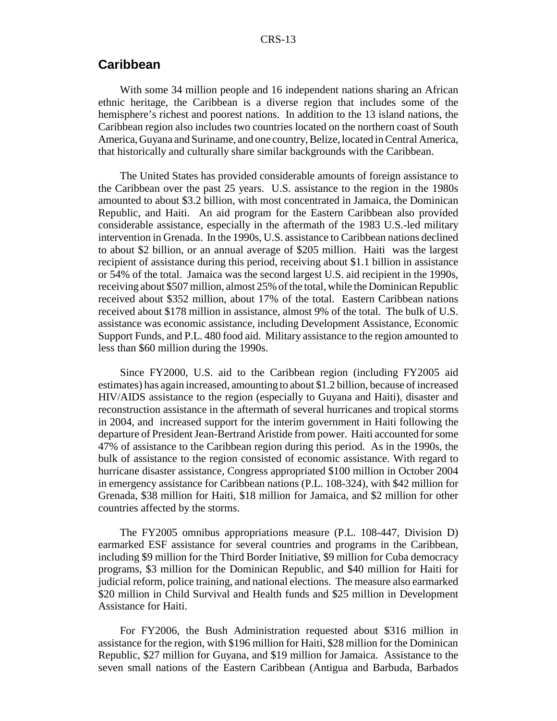# **Caribbean**

With some 34 million people and 16 independent nations sharing an African ethnic heritage, the Caribbean is a diverse region that includes some of the hemisphere's richest and poorest nations. In addition to the 13 island nations, the Caribbean region also includes two countries located on the northern coast of South America, Guyana and Suriname, and one country, Belize, located in Central America, that historically and culturally share similar backgrounds with the Caribbean.

The United States has provided considerable amounts of foreign assistance to the Caribbean over the past 25 years. U.S. assistance to the region in the 1980s amounted to about \$3.2 billion, with most concentrated in Jamaica, the Dominican Republic, and Haiti. An aid program for the Eastern Caribbean also provided considerable assistance, especially in the aftermath of the 1983 U.S.-led military intervention in Grenada. In the 1990s, U.S. assistance to Caribbean nations declined to about \$2 billion, or an annual average of \$205 million. Haiti was the largest recipient of assistance during this period, receiving about \$1.1 billion in assistance or 54% of the total. Jamaica was the second largest U.S. aid recipient in the 1990s, receiving about \$507 million, almost 25% of the total, while the Dominican Republic received about \$352 million, about 17% of the total. Eastern Caribbean nations received about \$178 million in assistance, almost 9% of the total. The bulk of U.S. assistance was economic assistance, including Development Assistance, Economic Support Funds, and P.L. 480 food aid. Military assistance to the region amounted to less than \$60 million during the 1990s.

Since FY2000, U.S. aid to the Caribbean region (including FY2005 aid estimates) has again increased, amounting to about \$1.2 billion, because of increased HIV/AIDS assistance to the region (especially to Guyana and Haiti), disaster and reconstruction assistance in the aftermath of several hurricanes and tropical storms in 2004, and increased support for the interim government in Haiti following the departure of President Jean-Bertrand Aristide from power. Haiti accounted for some 47% of assistance to the Caribbean region during this period. As in the 1990s, the bulk of assistance to the region consisted of economic assistance. With regard to hurricane disaster assistance, Congress appropriated \$100 million in October 2004 in emergency assistance for Caribbean nations (P.L. 108-324), with \$42 million for Grenada, \$38 million for Haiti, \$18 million for Jamaica, and \$2 million for other countries affected by the storms.

The FY2005 omnibus appropriations measure (P.L. 108-447, Division D) earmarked ESF assistance for several countries and programs in the Caribbean, including \$9 million for the Third Border Initiative, \$9 million for Cuba democracy programs, \$3 million for the Dominican Republic, and \$40 million for Haiti for judicial reform, police training, and national elections. The measure also earmarked \$20 million in Child Survival and Health funds and \$25 million in Development Assistance for Haiti.

For FY2006, the Bush Administration requested about \$316 million in assistance for the region, with \$196 million for Haiti, \$28 million for the Dominican Republic, \$27 million for Guyana, and \$19 million for Jamaica. Assistance to the seven small nations of the Eastern Caribbean (Antigua and Barbuda, Barbados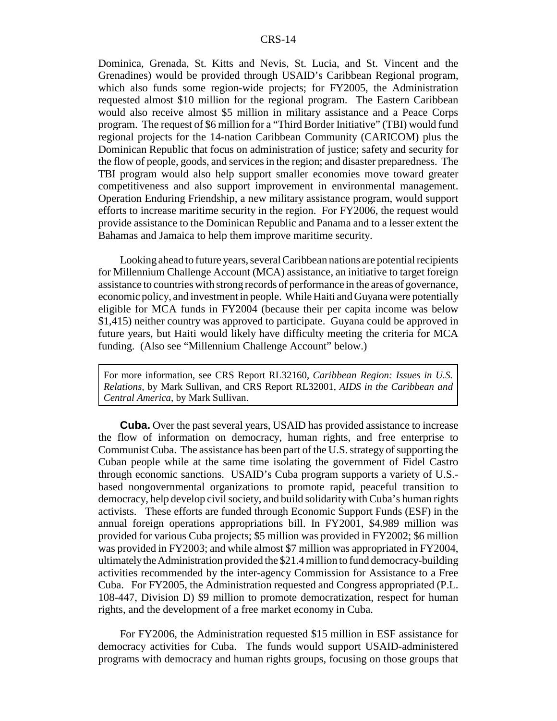Dominica, Grenada, St. Kitts and Nevis, St. Lucia, and St. Vincent and the Grenadines) would be provided through USAID's Caribbean Regional program, which also funds some region-wide projects; for FY2005, the Administration requested almost \$10 million for the regional program. The Eastern Caribbean would also receive almost \$5 million in military assistance and a Peace Corps program. The request of \$6 million for a "Third Border Initiative" (TBI) would fund regional projects for the 14-nation Caribbean Community (CARICOM) plus the Dominican Republic that focus on administration of justice; safety and security for the flow of people, goods, and services in the region; and disaster preparedness. The TBI program would also help support smaller economies move toward greater competitiveness and also support improvement in environmental management. Operation Enduring Friendship, a new military assistance program, would support efforts to increase maritime security in the region. For FY2006, the request would provide assistance to the Dominican Republic and Panama and to a lesser extent the Bahamas and Jamaica to help them improve maritime security.

Looking ahead to future years, several Caribbean nations are potential recipients for Millennium Challenge Account (MCA) assistance, an initiative to target foreign assistance to countries with strong records of performance in the areas of governance, economic policy, and investment in people. While Haiti and Guyana were potentially eligible for MCA funds in FY2004 (because their per capita income was below \$1,415) neither country was approved to participate. Guyana could be approved in future years, but Haiti would likely have difficulty meeting the criteria for MCA funding. (Also see "Millennium Challenge Account" below.)

For more information, see CRS Report RL32160, *Caribbean Region: Issues in U.S. Relations,* by Mark Sullivan, and CRS Report RL32001, *AIDS in the Caribbean and Central America*, by Mark Sullivan.

**Cuba.** Over the past several years, USAID has provided assistance to increase the flow of information on democracy, human rights, and free enterprise to Communist Cuba. The assistance has been part of the U.S. strategy of supporting the Cuban people while at the same time isolating the government of Fidel Castro through economic sanctions. USAID's Cuba program supports a variety of U.S. based nongovernmental organizations to promote rapid, peaceful transition to democracy, help develop civil society, and build solidarity with Cuba's human rights activists. These efforts are funded through Economic Support Funds (ESF) in the annual foreign operations appropriations bill. In FY2001, \$4.989 million was provided for various Cuba projects; \$5 million was provided in FY2002; \$6 million was provided in FY2003; and while almost \$7 million was appropriated in FY2004, ultimately the Administration provided the \$21.4 million to fund democracy-building activities recommended by the inter-agency Commission for Assistance to a Free Cuba. For FY2005, the Administration requested and Congress appropriated (P.L. 108-447, Division D) \$9 million to promote democratization, respect for human rights, and the development of a free market economy in Cuba.

For FY2006, the Administration requested \$15 million in ESF assistance for democracy activities for Cuba. The funds would support USAID-administered programs with democracy and human rights groups, focusing on those groups that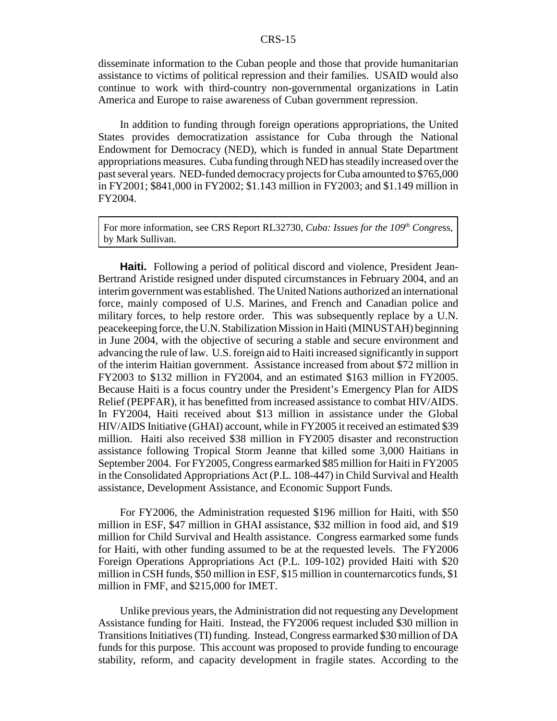disseminate information to the Cuban people and those that provide humanitarian assistance to victims of political repression and their families. USAID would also continue to work with third-country non-governmental organizations in Latin America and Europe to raise awareness of Cuban government repression.

In addition to funding through foreign operations appropriations, the United States provides democratization assistance for Cuba through the National Endowment for Democracy (NED), which is funded in annual State Department appropriations measures. Cuba funding through NED has steadily increased over the past several years. NED-funded democracy projects for Cuba amounted to \$765,000 in FY2001; \$841,000 in FY2002; \$1.143 million in FY2003; and \$1.149 million in FY2004.

For more information, see CRS Report RL32730, *Cuba: Issues for the 109<sup>th</sup> Congress*, by Mark Sullivan.

**Haiti.** Following a period of political discord and violence, President Jean-Bertrand Aristide resigned under disputed circumstances in February 2004, and an interim government was established. The United Nations authorized an international force, mainly composed of U.S. Marines, and French and Canadian police and military forces, to help restore order. This was subsequently replace by a U.N. peacekeeping force, the U.N. Stabilization Mission in Haiti (MINUSTAH) beginning in June 2004, with the objective of securing a stable and secure environment and advancing the rule of law. U.S. foreign aid to Haiti increased significantly in support of the interim Haitian government. Assistance increased from about \$72 million in FY2003 to \$132 million in FY2004, and an estimated \$163 million in FY2005. Because Haiti is a focus country under the President's Emergency Plan for AIDS Relief (PEPFAR), it has benefitted from increased assistance to combat HIV/AIDS. In FY2004, Haiti received about \$13 million in assistance under the Global HIV/AIDS Initiative (GHAI) account, while in FY2005 it received an estimated \$39 million. Haiti also received \$38 million in FY2005 disaster and reconstruction assistance following Tropical Storm Jeanne that killed some 3,000 Haitians in September 2004. For FY2005, Congress earmarked \$85 million for Haiti in FY2005 in the Consolidated Appropriations Act (P.L. 108-447) in Child Survival and Health assistance, Development Assistance, and Economic Support Funds.

For FY2006, the Administration requested \$196 million for Haiti, with \$50 million in ESF, \$47 million in GHAI assistance, \$32 million in food aid, and \$19 million for Child Survival and Health assistance. Congress earmarked some funds for Haiti, with other funding assumed to be at the requested levels. The FY2006 Foreign Operations Appropriations Act (P.L. 109-102) provided Haiti with \$20 million in CSH funds, \$50 million in ESF, \$15 million in counternarcotics funds, \$1 million in FMF, and \$215,000 for IMET.

Unlike previous years, the Administration did not requesting any Development Assistance funding for Haiti. Instead, the FY2006 request included \$30 million in Transitions Initiatives (TI) funding. Instead, Congress earmarked \$30 million of DA funds for this purpose. This account was proposed to provide funding to encourage stability, reform, and capacity development in fragile states. According to the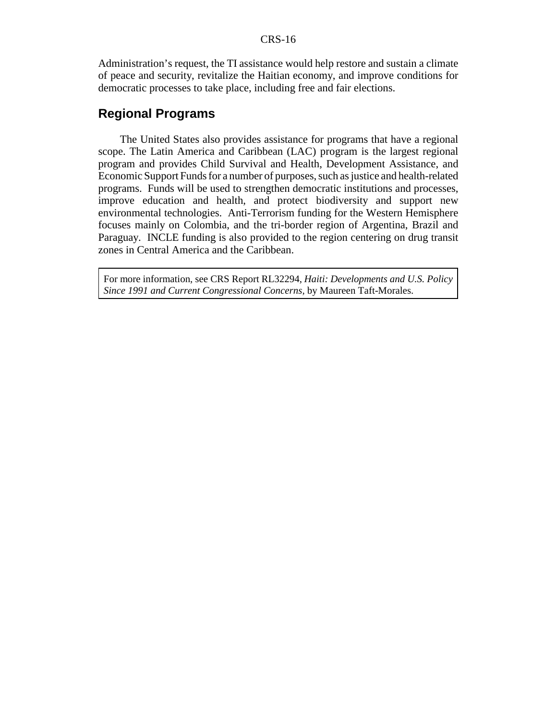Administration's request, the TI assistance would help restore and sustain a climate of peace and security, revitalize the Haitian economy, and improve conditions for democratic processes to take place, including free and fair elections.

# **Regional Programs**

The United States also provides assistance for programs that have a regional scope. The Latin America and Caribbean (LAC) program is the largest regional program and provides Child Survival and Health, Development Assistance, and Economic Support Funds for a number of purposes, such as justice and health-related programs. Funds will be used to strengthen democratic institutions and processes, improve education and health, and protect biodiversity and support new environmental technologies. Anti-Terrorism funding for the Western Hemisphere focuses mainly on Colombia, and the tri-border region of Argentina, Brazil and Paraguay. INCLE funding is also provided to the region centering on drug transit zones in Central America and the Caribbean.

For more information, see CRS Report RL32294, *Haiti: Developments and U.S. Policy Since 1991 and Current Congressional Concerns,* by Maureen Taft-Morales.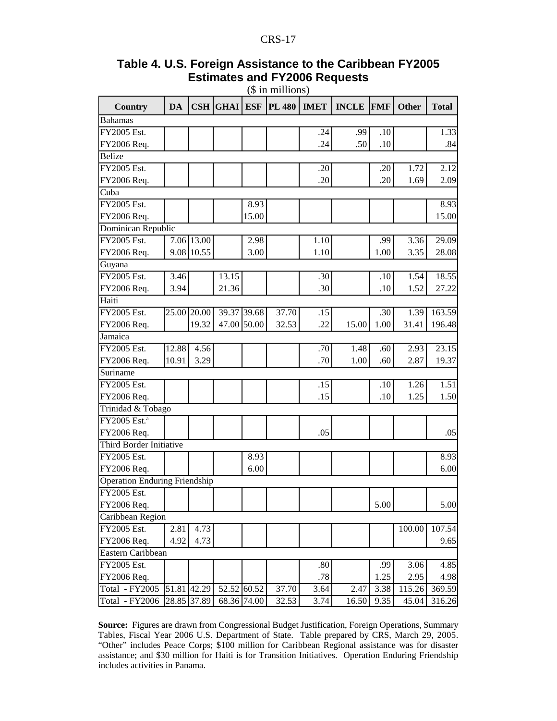|                                      |             |             |                 |             | (ф ні пішнопу) |             |              |            |              |              |
|--------------------------------------|-------------|-------------|-----------------|-------------|----------------|-------------|--------------|------------|--------------|--------------|
| <b>Country</b>                       | DA          |             | <b>CSH GHAI</b> | <b>ESF</b>  | <b>PL 480</b>  | <b>IMET</b> | <b>INCLE</b> | <b>FMF</b> | <b>Other</b> | <b>Total</b> |
| <b>Bahamas</b>                       |             |             |                 |             |                |             |              |            |              |              |
| FY2005 Est.                          |             |             |                 |             |                | .24         | .99          | .10        |              | 1.33         |
| FY2006 Req.                          |             |             |                 |             |                | .24         | .50          | .10        |              | .84          |
| <b>Belize</b>                        |             |             |                 |             |                |             |              |            |              |              |
| FY2005 Est.                          |             |             |                 |             |                | .20         |              | .20        | 1.72         | 2.12         |
| FY2006 Req.                          |             |             |                 |             |                | .20         |              | .20        | 1.69         | 2.09         |
| Cuba                                 |             |             |                 |             |                |             |              |            |              |              |
| FY2005 Est.                          |             |             |                 | 8.93        |                |             |              |            |              | 8.93         |
| FY2006 Req.                          |             |             |                 | 15.00       |                |             |              |            |              | 15.00        |
| Dominican Republic                   |             |             |                 |             |                |             |              |            |              |              |
| FY2005 Est.                          |             | 7.06 13.00  |                 | 2.98        |                | 1.10        |              | .99        | 3.36         | 29.09        |
| FY2006 Req.                          |             | 9.08 10.55  |                 | 3.00        |                | 1.10        |              | 1.00       | 3.35         | 28.08        |
| Guyana                               |             |             |                 |             |                |             |              |            |              |              |
| FY2005 Est.                          | 3.46        |             | 13.15           |             |                | .30         |              | .10        | 1.54         | 18.55        |
| FY2006 Req.                          | 3.94        |             | 21.36           |             |                | .30         |              | .10        | 1.52         | 27.22        |
| Haiti                                |             |             |                 |             |                |             |              |            |              |              |
| FY2005 Est.                          |             | 25.00 20.00 |                 | 39.37 39.68 | 37.70          | .15         |              | .30        | 1.39         | 163.59       |
| FY2006 Req.                          |             | 19.32       |                 | 47.00 50.00 | 32.53          | .22         | 15.00        | 1.00       | 31.41        | 196.48       |
| Jamaica                              |             |             |                 |             |                |             |              |            |              |              |
| FY2005 Est.                          | 12.88       | 4.56        |                 |             |                | .70         | 1.48         | .60        | 2.93         | 23.15        |
| FY2006 Req.                          | 10.91       | 3.29        |                 |             |                | .70         | 1.00         | .60        | 2.87         | 19.37        |
| Suriname                             |             |             |                 |             |                |             |              |            |              |              |
| FY2005 Est.                          |             |             |                 |             |                | .15         |              | .10        | 1.26         | 1.51         |
| FY2006 Req.                          |             |             |                 |             |                | .15         |              | .10        | 1.25         | 1.50         |
| Trinidad & Tobago                    |             |             |                 |             |                |             |              |            |              |              |
| FY2005 Est. <sup>a</sup>             |             |             |                 |             |                |             |              |            |              |              |
| FY2006 Req.                          |             |             |                 |             |                | .05         |              |            |              | .05          |
| Third Border Initiative              |             |             |                 |             |                |             |              |            |              |              |
| FY2005 Est.                          |             |             |                 | 8.93        |                |             |              |            |              | 8.93         |
| FY2006 Req.                          |             |             |                 | 6.00        |                |             |              |            |              | 6.00         |
| <b>Operation Enduring Friendship</b> |             |             |                 |             |                |             |              |            |              |              |
| FY2005 Est.                          |             |             |                 |             |                |             |              |            |              |              |
| FY2006 Req.                          |             |             |                 |             |                |             |              | 5.00       |              | 5.00         |
| Caribbean Region                     |             |             |                 |             |                |             |              |            |              |              |
| FY2005 Est.                          | 2.81        | 4.73        |                 |             |                |             |              |            | 100.00       | 107.54       |
| FY2006 Req.                          | 4.92        | 4.73        |                 |             |                |             |              |            |              | 9.65         |
| Eastern Caribbean                    |             |             |                 |             |                |             |              |            |              |              |
| FY2005 Est.                          |             |             |                 |             |                | .80         |              | .99        | 3.06         | 4.85         |
| FY2006 Req.                          |             |             |                 |             |                | .78         |              | 1.25       | 2.95         | 4.98         |
| Total - FY2005                       | 51.81 42.29 |             |                 | 52.52 60.52 | 37.70          | 3.64        | 2.47         | 3.38       | 115.26       | 369.59       |
| Total - FY2006                       |             | 28.85 37.89 |                 | 68.36 74.00 | 32.53          | 3.74        | 16.50        | 9.35       | 45.04        | 316.26       |

#### **Table 4. U.S. Foreign Assistance to the Caribbean FY2005 Estimates and FY2006 Requests** (\$ in millions)

**Source:** Figures are drawn from Congressional Budget Justification, Foreign Operations, Summary Tables, Fiscal Year 2006 U.S. Department of State. Table prepared by CRS, March 29, 2005. "Other" includes Peace Corps; \$100 million for Caribbean Regional assistance was for disaster assistance; and \$30 million for Haiti is for Transition Initiatives. Operation Enduring Friendship includes activities in Panama.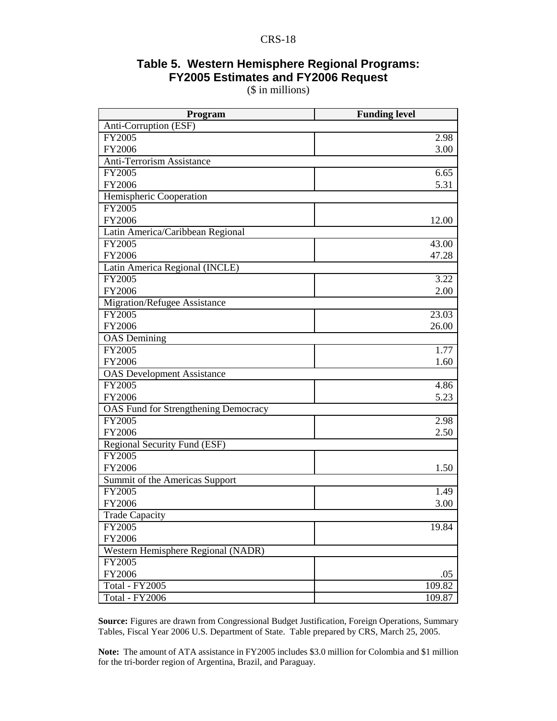# **Table 5. Western Hemisphere Regional Programs: FY2005 Estimates and FY2006 Request**

(\$ in millions)

| Program                                     | <b>Funding level</b> |
|---------------------------------------------|----------------------|
| Anti-Corruption (ESF)                       |                      |
| FY2005                                      | 2.98                 |
| FY2006                                      | 3.00                 |
| Anti-Terrorism Assistance                   |                      |
| FY2005                                      | 6.65                 |
| FY2006                                      | 5.31                 |
| Hemispheric Cooperation                     |                      |
| FY2005                                      |                      |
| FY2006                                      | 12.00                |
| Latin America/Caribbean Regional            |                      |
| FY2005                                      | 43.00                |
| FY2006                                      | 47.28                |
| Latin America Regional (INCLE)              |                      |
| FY2005                                      | 3.22                 |
| FY2006                                      | 2.00                 |
| Migration/Refugee Assistance                |                      |
| FY2005                                      | $\overline{2}3.03$   |
| FY2006                                      | 26.00                |
| <b>OAS</b> Demining                         |                      |
| FY2005                                      | 1.77                 |
| FY2006                                      | 1.60                 |
| <b>OAS</b> Development Assistance           |                      |
| FY2005                                      | 4.86                 |
| FY2006                                      | 5.23                 |
| <b>OAS Fund for Strengthening Democracy</b> |                      |
| FY2005                                      | 2.98                 |
| FY2006                                      | 2.50                 |
| Regional Security Fund (ESF)                |                      |
| FY2005                                      |                      |
| FY2006                                      | 1.50                 |
| Summit of the Americas Support              |                      |
| FY2005                                      | 1.49                 |
| FY2006                                      | 3.00                 |
| <b>Trade Capacity</b>                       |                      |
| FY2005                                      | 19.84                |
| FY2006                                      |                      |
| Western Hemisphere Regional (NADR)          |                      |
| FY2005                                      |                      |
| FY2006                                      | .05                  |
| <b>Total - FY2005</b>                       | 109.82               |
| Total - FY2006                              | 109.87               |

**Source:** Figures are drawn from Congressional Budget Justification, Foreign Operations, Summary Tables, Fiscal Year 2006 U.S. Department of State. Table prepared by CRS, March 25, 2005.

**Note:** The amount of ATA assistance in FY2005 includes \$3.0 million for Colombia and \$1 million for the tri-border region of Argentina, Brazil, and Paraguay.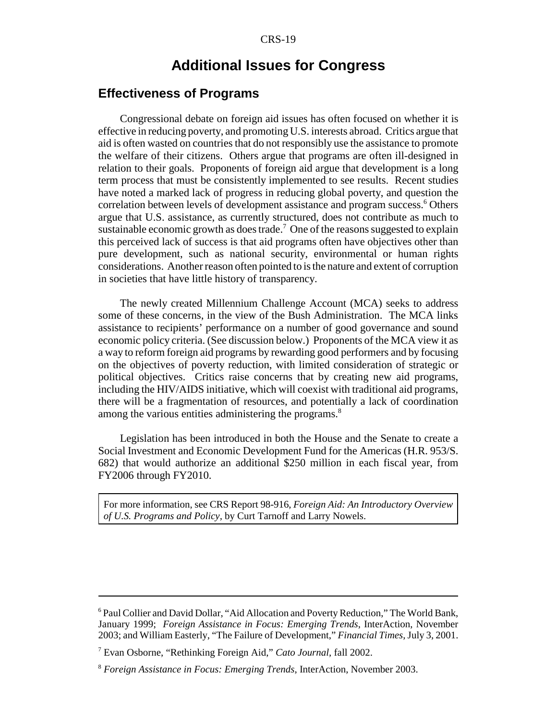# **Additional Issues for Congress**

# **Effectiveness of Programs**

Congressional debate on foreign aid issues has often focused on whether it is effective in reducing poverty, and promoting U.S. interests abroad. Critics argue that aid is often wasted on countries that do not responsibly use the assistance to promote the welfare of their citizens. Others argue that programs are often ill-designed in relation to their goals. Proponents of foreign aid argue that development is a long term process that must be consistently implemented to see results. Recent studies have noted a marked lack of progress in reducing global poverty, and question the correlation between levels of development assistance and program success.<sup>6</sup> Others argue that U.S. assistance, as currently structured, does not contribute as much to sustainable economic growth as does trade.<sup>7</sup> One of the reasons suggested to explain this perceived lack of success is that aid programs often have objectives other than pure development, such as national security, environmental or human rights considerations. Another reason often pointed to is the nature and extent of corruption in societies that have little history of transparency.

The newly created Millennium Challenge Account (MCA) seeks to address some of these concerns, in the view of the Bush Administration. The MCA links assistance to recipients' performance on a number of good governance and sound economic policy criteria. (See discussion below.) Proponents of the MCA view it as a way to reform foreign aid programs by rewarding good performers and by focusing on the objectives of poverty reduction, with limited consideration of strategic or political objectives. Critics raise concerns that by creating new aid programs, including the HIV/AIDS initiative, which will coexist with traditional aid programs, there will be a fragmentation of resources, and potentially a lack of coordination among the various entities administering the programs.<sup>8</sup>

Legislation has been introduced in both the House and the Senate to create a Social Investment and Economic Development Fund for the Americas (H.R. 953/S. 682) that would authorize an additional \$250 million in each fiscal year, from FY2006 through FY2010.

For more information, see CRS Report 98-916, *Foreign Aid: An Introductory Overview of U.S. Programs and Policy,* by Curt Tarnoff and Larry Nowels.

<sup>&</sup>lt;sup>6</sup> Paul Collier and David Dollar, "Aid Allocation and Poverty Reduction," The World Bank, January 1999; *Foreign Assistance in Focus: Emerging Trends*, InterAction, November 2003; and William Easterly, "The Failure of Development," *Financial Times*, July 3, 2001.

<sup>7</sup> Evan Osborne, "Rethinking Foreign Aid," *Cato Journal*, fall 2002.

<sup>8</sup> *Foreign Assistance in Focus: Emerging Trends*, InterAction, November 2003.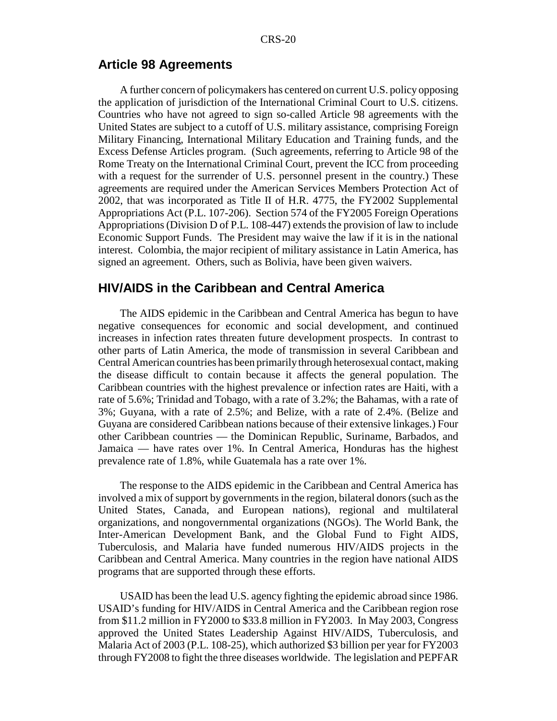#### **Article 98 Agreements**

A further concern of policymakers has centered on current U.S. policy opposing the application of jurisdiction of the International Criminal Court to U.S. citizens. Countries who have not agreed to sign so-called Article 98 agreements with the United States are subject to a cutoff of U.S. military assistance, comprising Foreign Military Financing, International Military Education and Training funds, and the Excess Defense Articles program. (Such agreements, referring to Article 98 of the Rome Treaty on the International Criminal Court, prevent the ICC from proceeding with a request for the surrender of U.S. personnel present in the country.) These agreements are required under the American Services Members Protection Act of 2002, that was incorporated as Title II of H.R. 4775, the FY2002 Supplemental Appropriations Act (P.L. 107-206). Section 574 of the FY2005 Foreign Operations Appropriations (Division D of P.L. 108-447) extends the provision of law to include Economic Support Funds. The President may waive the law if it is in the national interest. Colombia, the major recipient of military assistance in Latin America, has signed an agreement. Others, such as Bolivia, have been given waivers.

### **HIV/AIDS in the Caribbean and Central America**

The AIDS epidemic in the Caribbean and Central America has begun to have negative consequences for economic and social development, and continued increases in infection rates threaten future development prospects. In contrast to other parts of Latin America, the mode of transmission in several Caribbean and Central American countries has been primarily through heterosexual contact, making the disease difficult to contain because it affects the general population. The Caribbean countries with the highest prevalence or infection rates are Haiti, with a rate of 5.6%; Trinidad and Tobago, with a rate of 3.2%; the Bahamas, with a rate of 3%; Guyana, with a rate of 2.5%; and Belize, with a rate of 2.4%. (Belize and Guyana are considered Caribbean nations because of their extensive linkages.) Four other Caribbean countries — the Dominican Republic, Suriname, Barbados, and Jamaica — have rates over 1%. In Central America, Honduras has the highest prevalence rate of 1.8%, while Guatemala has a rate over 1%.

The response to the AIDS epidemic in the Caribbean and Central America has involved a mix of support by governments in the region, bilateral donors (such as the United States, Canada, and European nations), regional and multilateral organizations, and nongovernmental organizations (NGOs). The World Bank, the Inter-American Development Bank, and the Global Fund to Fight AIDS, Tuberculosis, and Malaria have funded numerous HIV/AIDS projects in the Caribbean and Central America. Many countries in the region have national AIDS programs that are supported through these efforts.

USAID has been the lead U.S. agency fighting the epidemic abroad since 1986. USAID's funding for HIV/AIDS in Central America and the Caribbean region rose from \$11.2 million in FY2000 to \$33.8 million in FY2003. In May 2003, Congress approved the United States Leadership Against HIV/AIDS, Tuberculosis, and Malaria Act of 2003 (P.L. 108-25), which authorized \$3 billion per year for FY2003 through FY2008 to fight the three diseases worldwide. The legislation and PEPFAR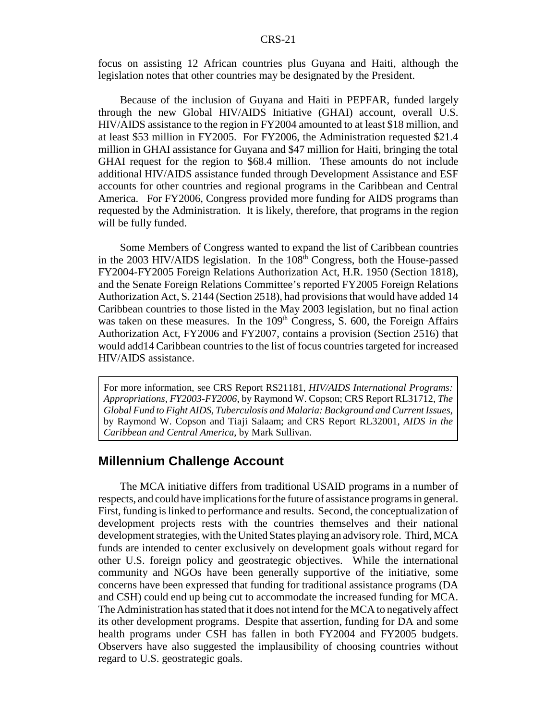focus on assisting 12 African countries plus Guyana and Haiti, although the legislation notes that other countries may be designated by the President.

Because of the inclusion of Guyana and Haiti in PEPFAR, funded largely through the new Global HIV/AIDS Initiative (GHAI) account, overall U.S. HIV/AIDS assistance to the region in FY2004 amounted to at least \$18 million, and at least \$53 million in FY2005. For FY2006, the Administration requested \$21.4 million in GHAI assistance for Guyana and \$47 million for Haiti, bringing the total GHAI request for the region to \$68.4 million. These amounts do not include additional HIV/AIDS assistance funded through Development Assistance and ESF accounts for other countries and regional programs in the Caribbean and Central America. For FY2006, Congress provided more funding for AIDS programs than requested by the Administration. It is likely, therefore, that programs in the region will be fully funded.

Some Members of Congress wanted to expand the list of Caribbean countries in the 2003 HIV/AIDS legislation. In the 108<sup>th</sup> Congress, both the House-passed FY2004-FY2005 Foreign Relations Authorization Act, H.R. 1950 (Section 1818), and the Senate Foreign Relations Committee's reported FY2005 Foreign Relations Authorization Act, S. 2144 (Section 2518), had provisions that would have added 14 Caribbean countries to those listed in the May 2003 legislation, but no final action was taken on these measures. In the  $109<sup>th</sup>$  Congress, S. 600, the Foreign Affairs Authorization Act, FY2006 and FY2007, contains a provision (Section 2516) that would add14 Caribbean countries to the list of focus countries targeted for increased HIV/AIDS assistance.

For more information, see CRS Report RS21181, *HIV/AIDS International Programs: Appropriations, FY2003-FY2006*, by Raymond W. Copson; CRS Report RL31712, *The Global Fund to Fight AIDS, Tuberculosis and Malaria: Background and Current Issues*, by Raymond W. Copson and Tiaji Salaam; and CRS Report RL32001, *AIDS in the Caribbean and Central America*, by Mark Sullivan.

#### **Millennium Challenge Account**

The MCA initiative differs from traditional USAID programs in a number of respects, and could have implications for the future of assistance programs in general. First, funding is linked to performance and results. Second, the conceptualization of development projects rests with the countries themselves and their national development strategies, with the United States playing an advisory role. Third, MCA funds are intended to center exclusively on development goals without regard for other U.S. foreign policy and geostrategic objectives. While the international community and NGOs have been generally supportive of the initiative, some concerns have been expressed that funding for traditional assistance programs (DA and CSH) could end up being cut to accommodate the increased funding for MCA. The Administration has stated that it does not intend for the MCA to negatively affect its other development programs. Despite that assertion, funding for DA and some health programs under CSH has fallen in both FY2004 and FY2005 budgets. Observers have also suggested the implausibility of choosing countries without regard to U.S. geostrategic goals.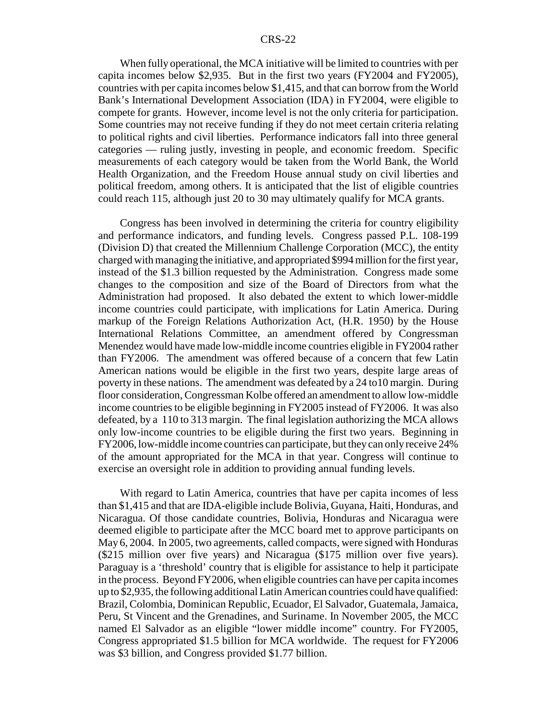When fully operational, the MCA initiative will be limited to countries with per capita incomes below \$2,935. But in the first two years (FY2004 and FY2005), countries with per capita incomes below \$1,415, and that can borrow from the World Bank's International Development Association (IDA) in FY2004, were eligible to compete for grants. However, income level is not the only criteria for participation. Some countries may not receive funding if they do not meet certain criteria relating to political rights and civil liberties. Performance indicators fall into three general categories — ruling justly, investing in people, and economic freedom. Specific measurements of each category would be taken from the World Bank, the World Health Organization, and the Freedom House annual study on civil liberties and political freedom, among others. It is anticipated that the list of eligible countries could reach 115, although just 20 to 30 may ultimately qualify for MCA grants.

Congress has been involved in determining the criteria for country eligibility and performance indicators, and funding levels. Congress passed P.L. 108-199 (Division D) that created the Millennium Challenge Corporation (MCC), the entity charged with managing the initiative, and appropriated \$994 million for the first year, instead of the \$1.3 billion requested by the Administration. Congress made some changes to the composition and size of the Board of Directors from what the Administration had proposed. It also debated the extent to which lower-middle income countries could participate, with implications for Latin America. During markup of the Foreign Relations Authorization Act, (H.R. 1950) by the House International Relations Committee, an amendment offered by Congressman Menendez would have made low-middle income countries eligible in FY2004 rather than FY2006. The amendment was offered because of a concern that few Latin American nations would be eligible in the first two years, despite large areas of poverty in these nations. The amendment was defeated by a 24 to10 margin. During floor consideration, Congressman Kolbe offered an amendment to allow low-middle income countries to be eligible beginning in FY2005 instead of FY2006. It was also defeated, by a 110 to 313 margin. The final legislation authorizing the MCA allows only low-income countries to be eligible during the first two years. Beginning in FY2006, low-middle income countries can participate, but they can only receive 24% of the amount appropriated for the MCA in that year. Congress will continue to exercise an oversight role in addition to providing annual funding levels.

With regard to Latin America, countries that have per capita incomes of less than \$1,415 and that are IDA-eligible include Bolivia, Guyana, Haiti, Honduras, and Nicaragua. Of those candidate countries, Bolivia, Honduras and Nicaragua were deemed eligible to participate after the MCC board met to approve participants on May 6, 2004. In 2005, two agreements, called compacts, were signed with Honduras (\$215 million over five years) and Nicaragua (\$175 million over five years). Paraguay is a 'threshold' country that is eligible for assistance to help it participate in the process. Beyond FY2006, when eligible countries can have per capita incomes up to \$2,935, the following additional Latin American countries could have qualified: Brazil, Colombia, Dominican Republic, Ecuador, El Salvador, Guatemala, Jamaica, Peru, St Vincent and the Grenadines, and Suriname. In November 2005, the MCC named El Salvador as an eligible "lower middle income" country. For FY2005, Congress appropriated \$1.5 billion for MCA worldwide. The request for FY2006 was \$3 billion, and Congress provided \$1.77 billion.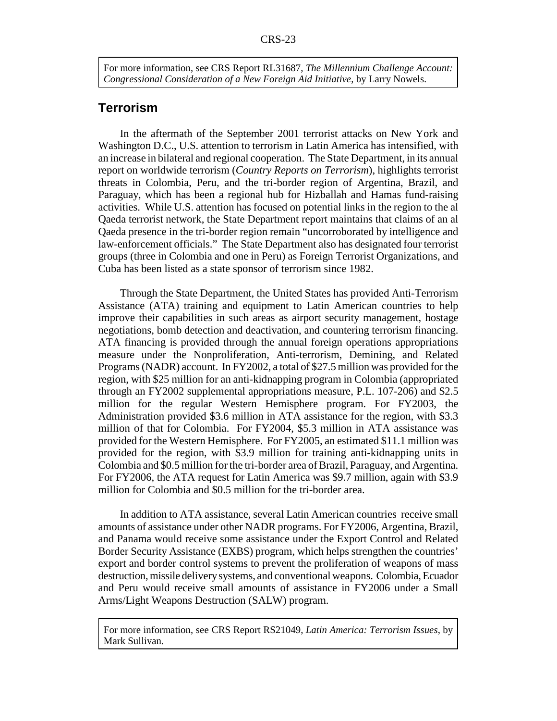For more information, see CRS Report RL31687, *The Millennium Challenge Account: Congressional Consideration of a New Foreign Aid Initiative*, by Larry Nowels.

# **Terrorism**

In the aftermath of the September 2001 terrorist attacks on New York and Washington D.C., U.S. attention to terrorism in Latin America has intensified, with an increase in bilateral and regional cooperation. The State Department, in its annual report on worldwide terrorism (*Country Reports on Terrorism*), highlights terrorist threats in Colombia, Peru, and the tri-border region of Argentina, Brazil, and Paraguay, which has been a regional hub for Hizballah and Hamas fund-raising activities. While U.S. attention has focused on potential links in the region to the al Qaeda terrorist network, the State Department report maintains that claims of an al Qaeda presence in the tri-border region remain "uncorroborated by intelligence and law-enforcement officials." The State Department also has designated four terrorist groups (three in Colombia and one in Peru) as Foreign Terrorist Organizations, and Cuba has been listed as a state sponsor of terrorism since 1982.

Through the State Department, the United States has provided Anti-Terrorism Assistance (ATA) training and equipment to Latin American countries to help improve their capabilities in such areas as airport security management, hostage negotiations, bomb detection and deactivation, and countering terrorism financing. ATA financing is provided through the annual foreign operations appropriations measure under the Nonproliferation, Anti-terrorism, Demining, and Related Programs (NADR) account. In FY2002, a total of \$27.5 million was provided for the region, with \$25 million for an anti-kidnapping program in Colombia (appropriated through an FY2002 supplemental appropriations measure, P.L. 107-206) and \$2.5 million for the regular Western Hemisphere program. For FY2003, the Administration provided \$3.6 million in ATA assistance for the region, with \$3.3 million of that for Colombia. For FY2004, \$5.3 million in ATA assistance was provided for the Western Hemisphere. For FY2005, an estimated \$11.1 million was provided for the region, with \$3.9 million for training anti-kidnapping units in Colombia and \$0.5 million for the tri-border area of Brazil, Paraguay, and Argentina. For FY2006, the ATA request for Latin America was \$9.7 million, again with \$3.9 million for Colombia and \$0.5 million for the tri-border area.

In addition to ATA assistance, several Latin American countries receive small amounts of assistance under other NADR programs. For FY2006, Argentina, Brazil, and Panama would receive some assistance under the Export Control and Related Border Security Assistance (EXBS) program, which helps strengthen the countries' export and border control systems to prevent the proliferation of weapons of mass destruction, missile delivery systems, and conventional weapons. Colombia, Ecuador and Peru would receive small amounts of assistance in FY2006 under a Small Arms/Light Weapons Destruction (SALW) program.

For more information, see CRS Report RS21049, *Latin America: Terrorism Issues*, by Mark Sullivan.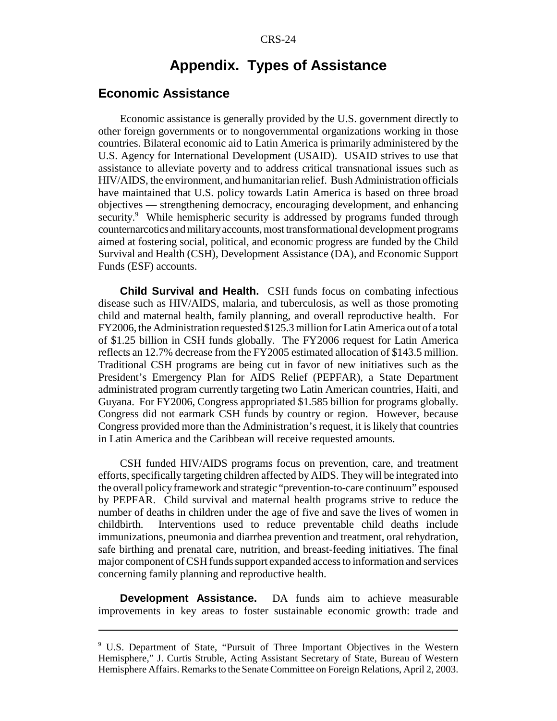# **Appendix. Types of Assistance**

### **Economic Assistance**

Economic assistance is generally provided by the U.S. government directly to other foreign governments or to nongovernmental organizations working in those countries. Bilateral economic aid to Latin America is primarily administered by the U.S. Agency for International Development (USAID). USAID strives to use that assistance to alleviate poverty and to address critical transnational issues such as HIV/AIDS, the environment, and humanitarian relief. Bush Administration officials have maintained that U.S. policy towards Latin America is based on three broad objectives — strengthening democracy, encouraging development, and enhancing security.<sup>9</sup> While hemispheric security is addressed by programs funded through counternarcotics and military accounts, most transformational development programs aimed at fostering social, political, and economic progress are funded by the Child Survival and Health (CSH), Development Assistance (DA), and Economic Support Funds (ESF) accounts.

**Child Survival and Health.** CSH funds focus on combating infectious disease such as HIV/AIDS, malaria, and tuberculosis, as well as those promoting child and maternal health, family planning, and overall reproductive health. For FY2006, the Administration requested \$125.3 million for Latin America out of a total of \$1.25 billion in CSH funds globally. The FY2006 request for Latin America reflects an 12.7% decrease from the FY2005 estimated allocation of \$143.5 million. Traditional CSH programs are being cut in favor of new initiatives such as the President's Emergency Plan for AIDS Relief (PEPFAR), a State Department administrated program currently targeting two Latin American countries, Haiti, and Guyana. For FY2006, Congress appropriated \$1.585 billion for programs globally. Congress did not earmark CSH funds by country or region. However, because Congress provided more than the Administration's request, it is likely that countries in Latin America and the Caribbean will receive requested amounts.

CSH funded HIV/AIDS programs focus on prevention, care, and treatment efforts, specifically targeting children affected by AIDS. They will be integrated into the overall policy framework and strategic "prevention-to-care continuum" espoused by PEPFAR. Child survival and maternal health programs strive to reduce the number of deaths in children under the age of five and save the lives of women in childbirth. Interventions used to reduce preventable child deaths include immunizations, pneumonia and diarrhea prevention and treatment, oral rehydration, safe birthing and prenatal care, nutrition, and breast-feeding initiatives. The final major component of CSH funds support expanded access to information and services concerning family planning and reproductive health.

**Development Assistance.** DA funds aim to achieve measurable improvements in key areas to foster sustainable economic growth: trade and

<sup>9</sup> U.S. Department of State, "Pursuit of Three Important Objectives in the Western Hemisphere," J. Curtis Struble, Acting Assistant Secretary of State, Bureau of Western Hemisphere Affairs. Remarks to the Senate Committee on Foreign Relations, April 2, 2003.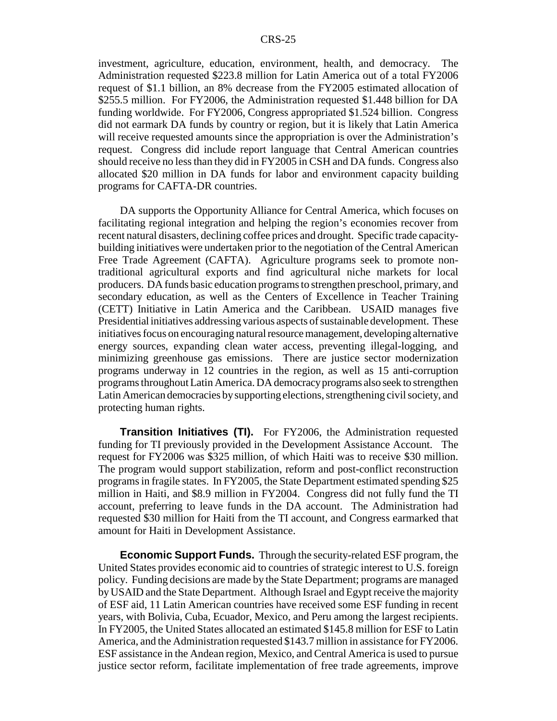investment, agriculture, education, environment, health, and democracy. The Administration requested \$223.8 million for Latin America out of a total FY2006 request of \$1.1 billion, an 8% decrease from the FY2005 estimated allocation of \$255.5 million. For FY2006, the Administration requested \$1.448 billion for DA funding worldwide. For FY2006, Congress appropriated \$1.524 billion. Congress did not earmark DA funds by country or region, but it is likely that Latin America will receive requested amounts since the appropriation is over the Administration's request. Congress did include report language that Central American countries should receive no less than they did in FY2005 in CSH and DA funds. Congress also allocated \$20 million in DA funds for labor and environment capacity building programs for CAFTA-DR countries.

DA supports the Opportunity Alliance for Central America, which focuses on facilitating regional integration and helping the region's economies recover from recent natural disasters, declining coffee prices and drought. Specific trade capacitybuilding initiatives were undertaken prior to the negotiation of the Central American Free Trade Agreement (CAFTA). Agriculture programs seek to promote nontraditional agricultural exports and find agricultural niche markets for local producers. DA funds basic education programs to strengthen preschool, primary, and secondary education, as well as the Centers of Excellence in Teacher Training (CETT) Initiative in Latin America and the Caribbean. USAID manages five Presidential initiatives addressing various aspects of sustainable development. These initiatives focus on encouraging natural resource management, developing alternative energy sources, expanding clean water access, preventing illegal-logging, and minimizing greenhouse gas emissions. There are justice sector modernization programs underway in 12 countries in the region, as well as 15 anti-corruption programs throughout Latin America. DA democracy programs also seek to strengthen Latin American democracies by supporting elections, strengthening civil society, and protecting human rights.

**Transition Initiatives (TI).** For FY2006, the Administration requested funding for TI previously provided in the Development Assistance Account. The request for FY2006 was \$325 million, of which Haiti was to receive \$30 million. The program would support stabilization, reform and post-conflict reconstruction programs in fragile states. In FY2005, the State Department estimated spending \$25 million in Haiti, and \$8.9 million in FY2004. Congress did not fully fund the TI account, preferring to leave funds in the DA account. The Administration had requested \$30 million for Haiti from the TI account, and Congress earmarked that amount for Haiti in Development Assistance.

**Economic Support Funds.** Through the security-related ESF program, the United States provides economic aid to countries of strategic interest to U.S. foreign policy. Funding decisions are made by the State Department; programs are managed by USAID and the State Department. Although Israel and Egypt receive the majority of ESF aid, 11 Latin American countries have received some ESF funding in recent years, with Bolivia, Cuba, Ecuador, Mexico, and Peru among the largest recipients. In FY2005, the United States allocated an estimated \$145.8 million for ESF to Latin America, and the Administration requested \$143.7 million in assistance for FY2006. ESF assistance in the Andean region, Mexico, and Central America is used to pursue justice sector reform, facilitate implementation of free trade agreements, improve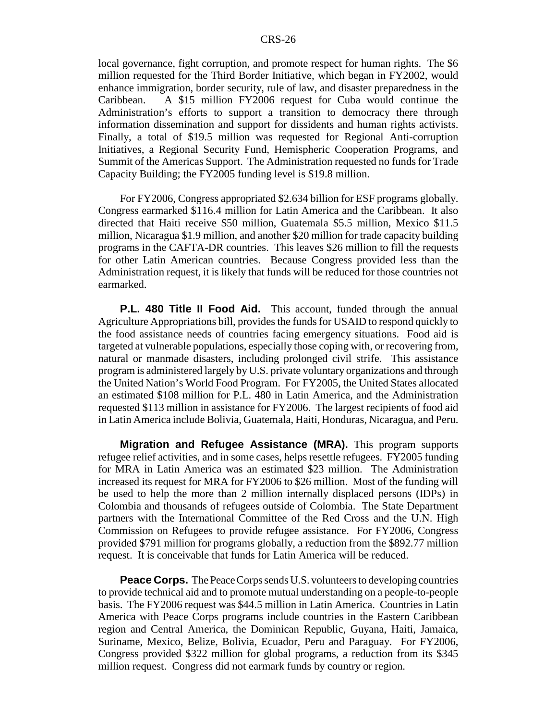local governance, fight corruption, and promote respect for human rights. The \$6 million requested for the Third Border Initiative, which began in FY2002, would enhance immigration, border security, rule of law, and disaster preparedness in the Caribbean. A \$15 million FY2006 request for Cuba would continue the Administration's efforts to support a transition to democracy there through information dissemination and support for dissidents and human rights activists. Finally, a total of \$19.5 million was requested for Regional Anti-corruption Initiatives, a Regional Security Fund, Hemispheric Cooperation Programs, and Summit of the Americas Support. The Administration requested no funds for Trade Capacity Building; the FY2005 funding level is \$19.8 million.

For FY2006, Congress appropriated \$2.634 billion for ESF programs globally. Congress earmarked \$116.4 million for Latin America and the Caribbean. It also directed that Haiti receive \$50 million, Guatemala \$5.5 million, Mexico \$11.5 million, Nicaragua \$1.9 million, and another \$20 million for trade capacity building programs in the CAFTA-DR countries. This leaves \$26 million to fill the requests for other Latin American countries. Because Congress provided less than the Administration request, it is likely that funds will be reduced for those countries not earmarked.

**P.L. 480 Title II Food Aid.** This account, funded through the annual Agriculture Appropriations bill, provides the funds for USAID to respond quickly to the food assistance needs of countries facing emergency situations. Food aid is targeted at vulnerable populations, especially those coping with, or recovering from, natural or manmade disasters, including prolonged civil strife. This assistance program is administered largely by U.S. private voluntary organizations and through the United Nation's World Food Program. For FY2005, the United States allocated an estimated \$108 million for P.L. 480 in Latin America, and the Administration requested \$113 million in assistance for FY2006. The largest recipients of food aid in Latin America include Bolivia, Guatemala, Haiti, Honduras, Nicaragua, and Peru.

**Migration and Refugee Assistance (MRA).** This program supports refugee relief activities, and in some cases, helps resettle refugees. FY2005 funding for MRA in Latin America was an estimated \$23 million. The Administration increased its request for MRA for FY2006 to \$26 million. Most of the funding will be used to help the more than 2 million internally displaced persons (IDPs) in Colombia and thousands of refugees outside of Colombia. The State Department partners with the International Committee of the Red Cross and the U.N. High Commission on Refugees to provide refugee assistance. For FY2006, Congress provided \$791 million for programs globally, a reduction from the \$892.77 million request. It is conceivable that funds for Latin America will be reduced.

**Peace Corps.** The Peace Corps sends U.S. volunteers to developing countries to provide technical aid and to promote mutual understanding on a people-to-people basis. The FY2006 request was \$44.5 million in Latin America. Countries in Latin America with Peace Corps programs include countries in the Eastern Caribbean region and Central America, the Dominican Republic, Guyana, Haiti, Jamaica, Suriname, Mexico, Belize, Bolivia, Ecuador, Peru and Paraguay. For FY2006, Congress provided \$322 million for global programs, a reduction from its \$345 million request. Congress did not earmark funds by country or region.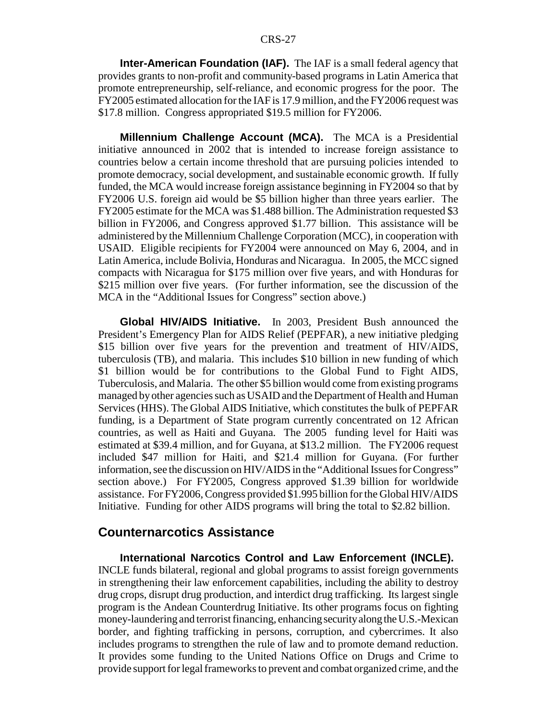**Inter-American Foundation (IAF).** The IAF is a small federal agency that provides grants to non-profit and community-based programs in Latin America that promote entrepreneurship, self-reliance, and economic progress for the poor. The FY2005 estimated allocation for the IAF is 17.9 million, and the FY2006 request was \$17.8 million. Congress appropriated \$19.5 million for FY2006.

**Millennium Challenge Account (MCA).** The MCA is a Presidential initiative announced in 2002 that is intended to increase foreign assistance to countries below a certain income threshold that are pursuing policies intended to promote democracy, social development, and sustainable economic growth. If fully funded, the MCA would increase foreign assistance beginning in FY2004 so that by FY2006 U.S. foreign aid would be \$5 billion higher than three years earlier. The FY2005 estimate for the MCA was \$1.488 billion. The Administration requested \$3 billion in FY2006, and Congress approved \$1.77 billion. This assistance will be administered by the Millennium Challenge Corporation (MCC), in cooperation with USAID. Eligible recipients for FY2004 were announced on May 6, 2004, and in Latin America, include Bolivia, Honduras and Nicaragua. In 2005, the MCC signed compacts with Nicaragua for \$175 million over five years, and with Honduras for \$215 million over five years. (For further information, see the discussion of the MCA in the "Additional Issues for Congress" section above.)

**Global HIV/AIDS Initiative.** In 2003, President Bush announced the President's Emergency Plan for AIDS Relief (PEPFAR), a new initiative pledging \$15 billion over five years for the prevention and treatment of HIV/AIDS, tuberculosis (TB), and malaria. This includes \$10 billion in new funding of which \$1 billion would be for contributions to the Global Fund to Fight AIDS, Tuberculosis, and Malaria. The other \$5 billion would come from existing programs managed by other agencies such as USAID and the Department of Health and Human Services (HHS). The Global AIDS Initiative, which constitutes the bulk of PEPFAR funding, is a Department of State program currently concentrated on 12 African countries, as well as Haiti and Guyana. The 2005 funding level for Haiti was estimated at \$39.4 million, and for Guyana, at \$13.2 million. The FY2006 request included \$47 million for Haiti, and \$21.4 million for Guyana. (For further information, see the discussion on HIV/AIDS in the "Additional Issues for Congress" section above.) For FY2005, Congress approved \$1.39 billion for worldwide assistance. For FY2006, Congress provided \$1.995 billion for the Global HIV/AIDS Initiative. Funding for other AIDS programs will bring the total to \$2.82 billion.

### **Counternarcotics Assistance**

**International Narcotics Control and Law Enforcement (INCLE).** INCLE funds bilateral, regional and global programs to assist foreign governments in strengthening their law enforcement capabilities, including the ability to destroy drug crops, disrupt drug production, and interdict drug trafficking. Its largest single program is the Andean Counterdrug Initiative. Its other programs focus on fighting money-laundering and terrorist financing, enhancing security along the U.S.-Mexican border, and fighting trafficking in persons, corruption, and cybercrimes. It also includes programs to strengthen the rule of law and to promote demand reduction. It provides some funding to the United Nations Office on Drugs and Crime to provide support for legal frameworks to prevent and combat organized crime, and the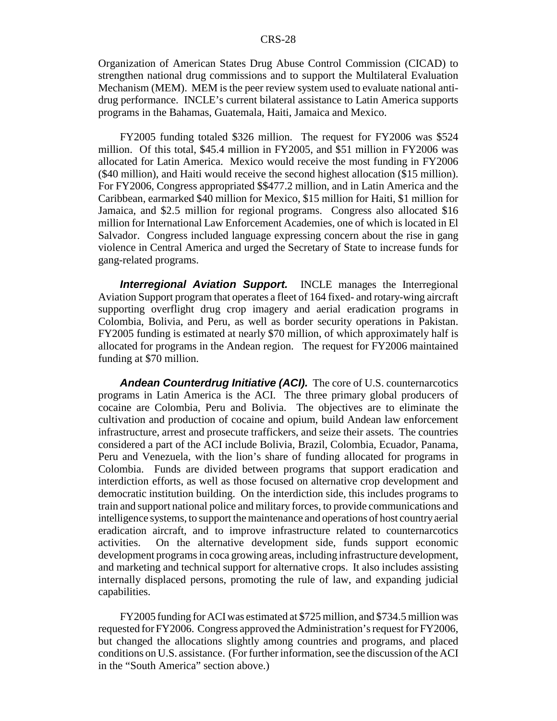Organization of American States Drug Abuse Control Commission (CICAD) to strengthen national drug commissions and to support the Multilateral Evaluation Mechanism (MEM). MEM is the peer review system used to evaluate national antidrug performance. INCLE's current bilateral assistance to Latin America supports programs in the Bahamas, Guatemala, Haiti, Jamaica and Mexico.

FY2005 funding totaled \$326 million. The request for FY2006 was \$524 million. Of this total, \$45.4 million in FY2005, and \$51 million in FY2006 was allocated for Latin America. Mexico would receive the most funding in FY2006 (\$40 million), and Haiti would receive the second highest allocation (\$15 million). For FY2006, Congress appropriated \$\$477.2 million, and in Latin America and the Caribbean, earmarked \$40 million for Mexico, \$15 million for Haiti, \$1 million for Jamaica, and \$2.5 million for regional programs. Congress also allocated \$16 million for International Law Enforcement Academies, one of which is located in El Salvador. Congress included language expressing concern about the rise in gang violence in Central America and urged the Secretary of State to increase funds for gang-related programs.

**Interregional Aviation Support.** INCLE manages the Interregional Aviation Support program that operates a fleet of 164 fixed- and rotary-wing aircraft supporting overflight drug crop imagery and aerial eradication programs in Colombia, Bolivia, and Peru, as well as border security operations in Pakistan. FY2005 funding is estimated at nearly \$70 million, of which approximately half is allocated for programs in the Andean region. The request for FY2006 maintained funding at \$70 million.

*Andean Counterdrug Initiative (ACI).* The core of U.S. counternarcotics programs in Latin America is the ACI. The three primary global producers of cocaine are Colombia, Peru and Bolivia. The objectives are to eliminate the cultivation and production of cocaine and opium, build Andean law enforcement infrastructure, arrest and prosecute traffickers, and seize their assets. The countries considered a part of the ACI include Bolivia, Brazil, Colombia, Ecuador, Panama, Peru and Venezuela, with the lion's share of funding allocated for programs in Colombia. Funds are divided between programs that support eradication and interdiction efforts, as well as those focused on alternative crop development and democratic institution building. On the interdiction side, this includes programs to train and support national police and military forces, to provide communications and intelligence systems, to support the maintenance and operations of host country aerial eradication aircraft, and to improve infrastructure related to counternarcotics activities. On the alternative development side, funds support economic development programs in coca growing areas, including infrastructure development, and marketing and technical support for alternative crops. It also includes assisting internally displaced persons, promoting the rule of law, and expanding judicial capabilities.

FY2005 funding for ACI was estimated at \$725 million, and \$734.5 million was requested for FY2006. Congress approved the Administration's request for FY2006, but changed the allocations slightly among countries and programs, and placed conditions on U.S. assistance. (For further information, see the discussion of the ACI in the "South America" section above.)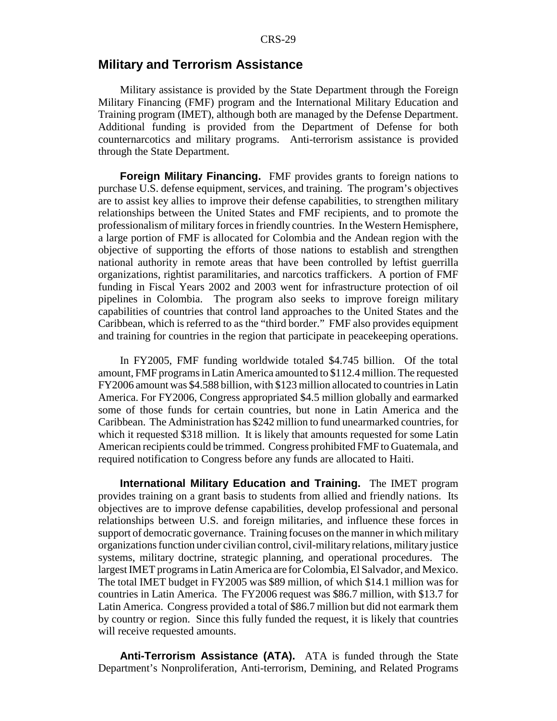#### **Military and Terrorism Assistance**

Military assistance is provided by the State Department through the Foreign Military Financing (FMF) program and the International Military Education and Training program (IMET), although both are managed by the Defense Department. Additional funding is provided from the Department of Defense for both counternarcotics and military programs. Anti-terrorism assistance is provided through the State Department.

**Foreign Military Financing.** FMF provides grants to foreign nations to purchase U.S. defense equipment, services, and training. The program's objectives are to assist key allies to improve their defense capabilities, to strengthen military relationships between the United States and FMF recipients, and to promote the professionalism of military forces in friendly countries. In the Western Hemisphere, a large portion of FMF is allocated for Colombia and the Andean region with the objective of supporting the efforts of those nations to establish and strengthen national authority in remote areas that have been controlled by leftist guerrilla organizations, rightist paramilitaries, and narcotics traffickers. A portion of FMF funding in Fiscal Years 2002 and 2003 went for infrastructure protection of oil pipelines in Colombia. The program also seeks to improve foreign military capabilities of countries that control land approaches to the United States and the Caribbean, which is referred to as the "third border." FMF also provides equipment and training for countries in the region that participate in peacekeeping operations.

In FY2005, FMF funding worldwide totaled \$4.745 billion. Of the total amount, FMF programs in Latin America amounted to \$112.4 million. The requested FY2006 amount was \$4.588 billion, with \$123 million allocated to countries in Latin America. For FY2006, Congress appropriated \$4.5 million globally and earmarked some of those funds for certain countries, but none in Latin America and the Caribbean. The Administration has \$242 million to fund unearmarked countries, for which it requested \$318 million. It is likely that amounts requested for some Latin American recipients could be trimmed. Congress prohibited FMF to Guatemala, and required notification to Congress before any funds are allocated to Haiti.

**International Military Education and Training.** The IMET program provides training on a grant basis to students from allied and friendly nations. Its objectives are to improve defense capabilities, develop professional and personal relationships between U.S. and foreign militaries, and influence these forces in support of democratic governance. Training focuses on the manner in which military organizations function under civilian control, civil-military relations, military justice systems, military doctrine, strategic planning, and operational procedures. The largest IMET programs in Latin America are for Colombia, El Salvador, and Mexico. The total IMET budget in FY2005 was \$89 million, of which \$14.1 million was for countries in Latin America. The FY2006 request was \$86.7 million, with \$13.7 for Latin America. Congress provided a total of \$86.7 million but did not earmark them by country or region. Since this fully funded the request, it is likely that countries will receive requested amounts.

**Anti-Terrorism Assistance (ATA).** ATA is funded through the State Department's Nonproliferation, Anti-terrorism, Demining, and Related Programs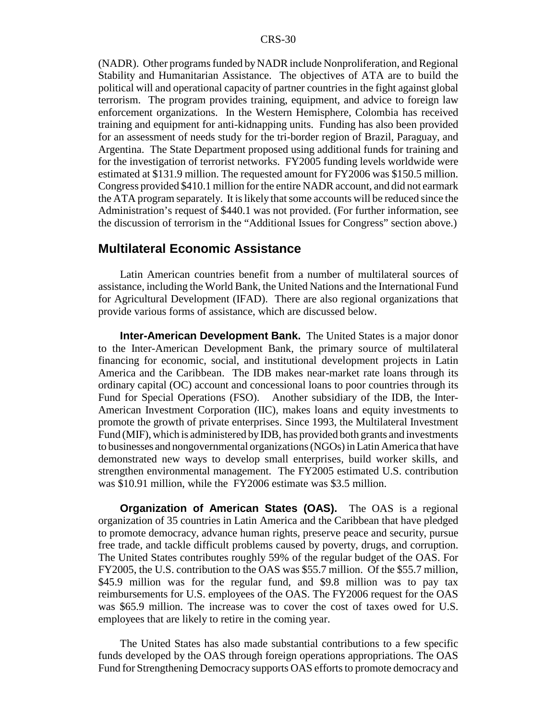(NADR). Other programs funded by NADR include Nonproliferation, and Regional Stability and Humanitarian Assistance. The objectives of ATA are to build the political will and operational capacity of partner countries in the fight against global terrorism. The program provides training, equipment, and advice to foreign law enforcement organizations. In the Western Hemisphere, Colombia has received training and equipment for anti-kidnapping units. Funding has also been provided for an assessment of needs study for the tri-border region of Brazil, Paraguay, and Argentina. The State Department proposed using additional funds for training and for the investigation of terrorist networks. FY2005 funding levels worldwide were estimated at \$131.9 million. The requested amount for FY2006 was \$150.5 million. Congress provided \$410.1 million for the entire NADR account, and did not earmark the ATA program separately. It is likely that some accounts will be reduced since the Administration's request of \$440.1 was not provided. (For further information, see the discussion of terrorism in the "Additional Issues for Congress" section above.)

### **Multilateral Economic Assistance**

Latin American countries benefit from a number of multilateral sources of assistance, including the World Bank, the United Nations and the International Fund for Agricultural Development (IFAD). There are also regional organizations that provide various forms of assistance, which are discussed below.

**Inter-American Development Bank.** The United States is a major donor to the Inter-American Development Bank, the primary source of multilateral financing for economic, social, and institutional development projects in Latin America and the Caribbean. The IDB makes near-market rate loans through its ordinary capital (OC) account and concessional loans to poor countries through its Fund for Special Operations (FSO). Another subsidiary of the IDB, the Inter-American Investment Corporation (IIC), makes loans and equity investments to promote the growth of private enterprises. Since 1993, the Multilateral Investment Fund (MIF), which is administered by IDB, has provided both grants and investments to businesses and nongovernmental organizations (NGOs) in Latin America that have demonstrated new ways to develop small enterprises, build worker skills, and strengthen environmental management. The FY2005 estimated U.S. contribution was \$10.91 million, while the FY2006 estimate was \$3.5 million.

**Organization of American States (OAS).** The OAS is a regional organization of 35 countries in Latin America and the Caribbean that have pledged to promote democracy, advance human rights, preserve peace and security, pursue free trade, and tackle difficult problems caused by poverty, drugs, and corruption. The United States contributes roughly 59% of the regular budget of the OAS. For FY2005, the U.S. contribution to the OAS was \$55.7 million. Of the \$55.7 million, \$45.9 million was for the regular fund, and \$9.8 million was to pay tax reimbursements for U.S. employees of the OAS. The FY2006 request for the OAS was \$65.9 million. The increase was to cover the cost of taxes owed for U.S. employees that are likely to retire in the coming year.

The United States has also made substantial contributions to a few specific funds developed by the OAS through foreign operations appropriations. The OAS Fund for Strengthening Democracy supports OAS efforts to promote democracy and